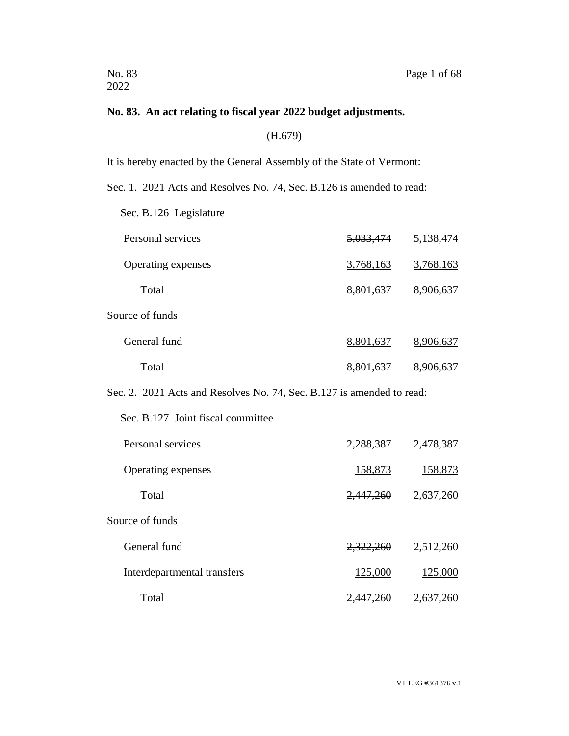## **No. 83. An act relating to fiscal year 2022 budget adjustments.**

(H.679)

It is hereby enacted by the General Assembly of the State of Vermont:

Sec. 1. 2021 Acts and Resolves No. 74, Sec. B.126 is amended to read:

Sec. B.126 Legislature

| Personal services  | <del>5,033,474</del> | 5,138,474 |
|--------------------|----------------------|-----------|
| Operating expenses | 3,768,163            | 3,768,163 |
| Total              | 8,801,637            | 8,906,637 |
| Source of funds    |                      |           |
| General fund       | 8,801,637            | 8,906,637 |
| Total              | 8,801,637            | 8,906,637 |

Sec. 2. 2021 Acts and Resolves No. 74, Sec. B.127 is amended to read:

| Sec. B.127 Joint fiscal committee |           |           |
|-----------------------------------|-----------|-----------|
| Personal services                 | 2,288,387 | 2,478,387 |
| Operating expenses                | 158,873   | 158,873   |
| Total                             | 2,447,260 | 2,637,260 |
| Source of funds                   |           |           |
| General fund                      | 2,322,260 | 2,512,260 |
| Interdepartmental transfers       | 125,000   | 125,000   |
| Total                             |           | 2,637,260 |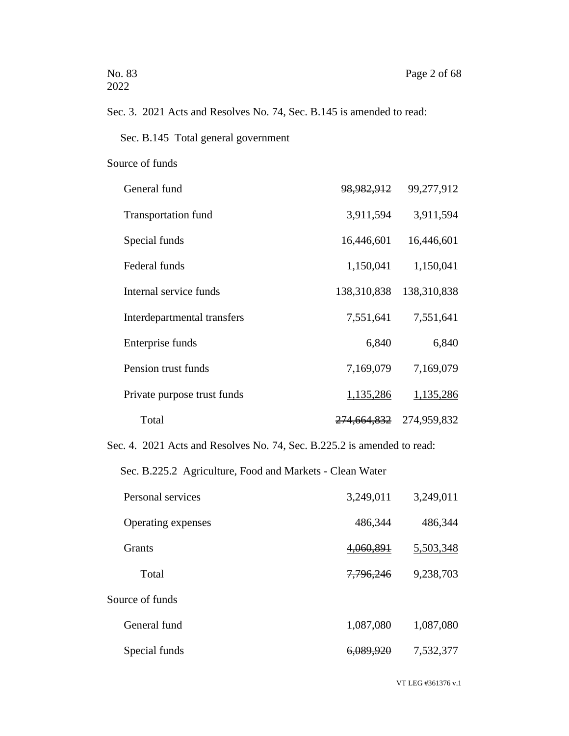# Sec. 3. 2021 Acts and Resolves No. 74, Sec. B.145 is amended to read:

Sec. B.145 Total general government

#### Source of funds

| General fund                | <del>98,982,912</del>  | 99,277,912  |
|-----------------------------|------------------------|-------------|
| <b>Transportation fund</b>  | 3,911,594              | 3,911,594   |
| Special funds               | 16,446,601             | 16,446,601  |
| Federal funds               | 1,150,041              | 1,150,041   |
| Internal service funds      | 138,310,838            | 138,310,838 |
| Interdepartmental transfers | 7,551,641              | 7,551,641   |
| Enterprise funds            | 6,840                  | 6,840       |
| Pension trust funds         | 7,169,079              | 7,169,079   |
| Private purpose trust funds | 1,135,286              | 1,135,286   |
| Total                       | <del>274,664,832</del> | 274,959,832 |

Sec. 4. 2021 Acts and Resolves No. 74, Sec. B.225.2 is amended to read:

Sec. B.225.2 Agriculture, Food and Markets - Clean Water

| Personal services  | 3,249,011            | 3,249,011 |
|--------------------|----------------------|-----------|
| Operating expenses | 486,344              | 486,344   |
| <b>Grants</b>      | 4,060,891            | 5,503,348 |
| Total              | 7,796,246            | 9,238,703 |
| Source of funds    |                      |           |
| General fund       | 1,087,080            | 1,087,080 |
| Special funds      | <del>6,089,920</del> | 7,532,377 |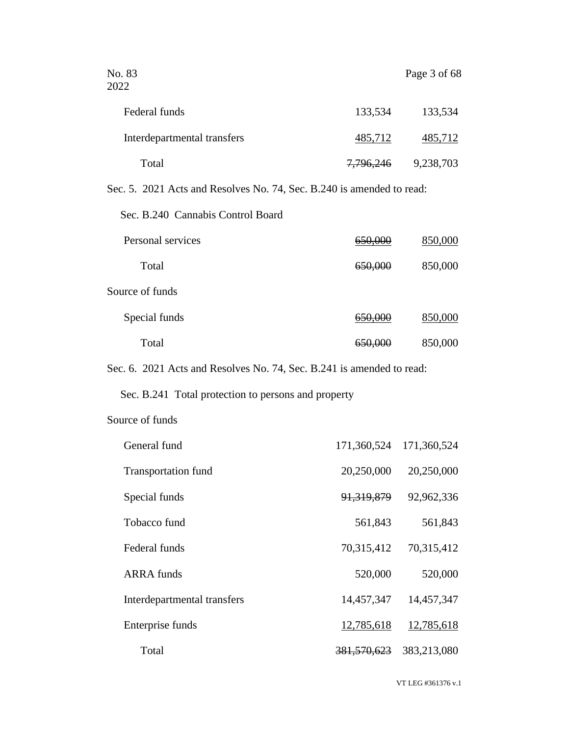| No. 83<br>2022                                                        |                    | Page 3 of 68            |
|-----------------------------------------------------------------------|--------------------|-------------------------|
| Federal funds                                                         | 133,534            | 133,534                 |
| Interdepartmental transfers                                           | <u>485,712</u>     | <u>485,712</u>          |
| Total                                                                 |                    | 7,796,246 9,238,703     |
| Sec. 5. 2021 Acts and Resolves No. 74, Sec. B.240 is amended to read: |                    |                         |
| Sec. B.240 Cannabis Control Board                                     |                    |                         |
| Personal services                                                     | <del>650,000</del> | 850,000                 |
| Total                                                                 | <del>650,000</del> | 850,000                 |
| Source of funds                                                       |                    |                         |
| Special funds                                                         | 650,000            | 850,000                 |
| Total                                                                 | <del>650,000</del> | 850,000                 |
| Sec. 6. 2021 Acts and Resolves No. 74, Sec. B.241 is amended to read: |                    |                         |
| Sec. B.241 Total protection to persons and property                   |                    |                         |
| Source of funds                                                       |                    |                         |
| General fund                                                          |                    | 171,360,524 171,360,524 |
| Transportation fund                                                   | 20,250,000         | 20,250,000              |
| Special funds                                                         | 91,319,879         | 92,962,336              |
| Tobacco fund                                                          | 561,843            | 561,843                 |
| Federal funds                                                         | 70,315,412         | 70,315,412              |
| <b>ARRA</b> funds                                                     | 520,000            | 520,000                 |
| Interdepartmental transfers                                           | 14,457,347         | 14,457,347              |
| Enterprise funds                                                      | <u>12,785,618</u>  | <u>12,785,618</u>       |

Total 381,570,623 383,213,080

VT LEG #361376 v.1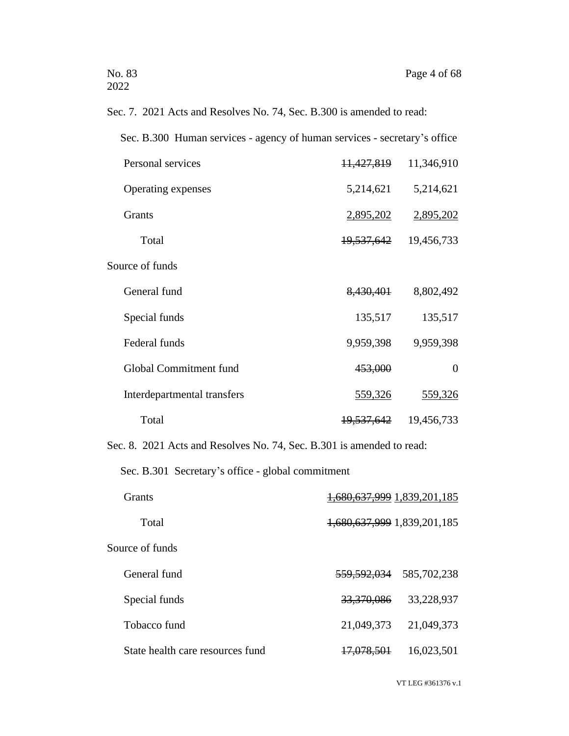Sec. 7. 2021 Acts and Resolves No. 74, Sec. B.300 is amended to read:

Sec. B.300 Human services - agency of human services - secretary's office

| Personal services           | 11,427,819            | 11,346,910 |
|-----------------------------|-----------------------|------------|
| Operating expenses          | 5,214,621             | 5,214,621  |
| Grants                      | 2,895,202             | 2,895,202  |
| Total                       | 19,537,642            | 19,456,733 |
| Source of funds             |                       |            |
| General fund                | 8,430,401             | 8,802,492  |
| Special funds               | 135,517               | 135,517    |
| Federal funds               | 9,959,398             | 9,959,398  |
| Global Commitment fund      | 453,000               | $\Omega$   |
| Interdepartmental transfers | 559,326               | 559,326    |
| Total                       | <del>19,537,642</del> | 19,456,733 |

Sec. 8. 2021 Acts and Resolves No. 74, Sec. B.301 is amended to read:

Sec. B.301 Secretary's office - global commitment

| Grants                           | 1,680,637,999 1,839,201,185 |             |
|----------------------------------|-----------------------------|-------------|
| Total                            | 1,680,637,999 1,839,201,185 |             |
| Source of funds                  |                             |             |
| General fund                     | <del>559,592,034</del>      | 585,702,238 |
| Special funds                    | 33,370,086                  | 33,228,937  |
| Tobacco fund                     | 21,049,373                  | 21,049,373  |
| State health care resources fund | <del>17,078,501</del>       | 16,023,501  |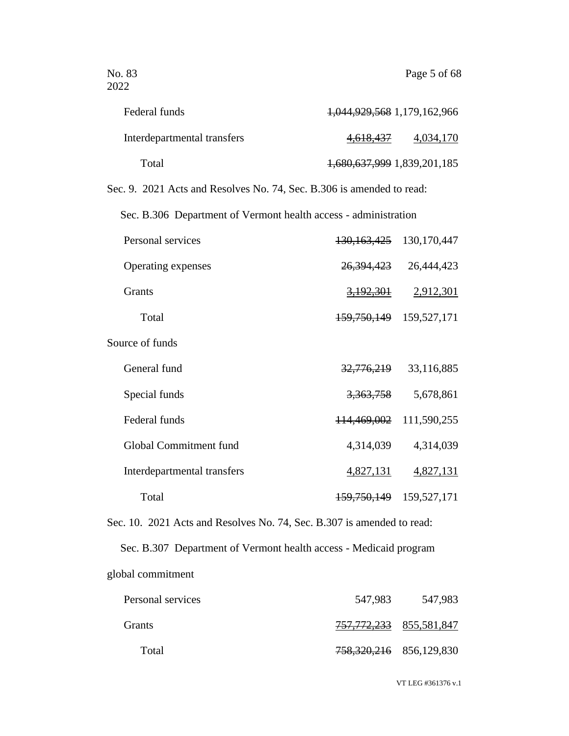| Federal funds                                                          | 1,044,929,568 1,179,162,966 |               |
|------------------------------------------------------------------------|-----------------------------|---------------|
| Interdepartmental transfers                                            | 4,618,437                   | 4,034,170     |
| Total                                                                  | 1,680,637,999 1,839,201,185 |               |
| Sec. 9. 2021 Acts and Resolves No. 74, Sec. B.306 is amended to read:  |                             |               |
| Sec. B.306 Department of Vermont health access - administration        |                             |               |
| Personal services                                                      | <del>130,163,425</del>      | 130, 170, 447 |
| Operating expenses                                                     | <del>26,394,423</del>       | 26,444,423    |
| Grants                                                                 | <u>3,192,301</u>            | 2,912,301     |
| Total                                                                  | <del>159,750,149</del>      | 159,527,171   |
| Source of funds                                                        |                             |               |
| General fund                                                           | <del>32,776,219</del>       | 33,116,885    |
| Special funds                                                          | <del>3,363,758</del>        | 5,678,861     |
| Federal funds                                                          | 114,469,002                 | 111,590,255   |
| Global Commitment fund                                                 | 4,314,039                   | 4,314,039     |
| Interdepartmental transfers                                            | 4,827,131                   | 4,827,131     |
| Total                                                                  | <del>159,750,149</del>      | 159,527,171   |
| Sec. 10. 2021 Acts and Resolves No. 74, Sec. B.307 is amended to read: |                             |               |
| Sec. B.307 Department of Vermont health access - Medicaid program      |                             |               |
| global commitment                                                      |                             |               |

| Personal services | 547,983 | 547,983                                |
|-------------------|---------|----------------------------------------|
| <b>Grants</b>     |         | <del>757, 772, 233</del> 855, 581, 847 |
| Total             |         | 758, 320, 216 856, 129, 830            |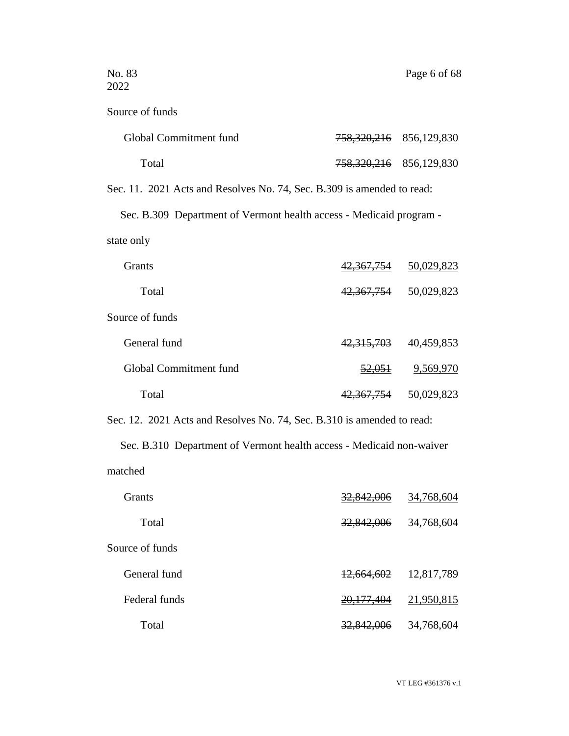| Source of funds                                                        |                                |                           |
|------------------------------------------------------------------------|--------------------------------|---------------------------|
| Global Commitment fund                                                 | <u>758,320,216</u> 856,129,830 |                           |
| Total                                                                  | 758, 320, 216 856, 129, 830    |                           |
| Sec. 11. 2021 Acts and Resolves No. 74, Sec. B.309 is amended to read: |                                |                           |
| Sec. B.309 Department of Vermont health access - Medicaid program -    |                                |                           |
| state only                                                             |                                |                           |
| Grants                                                                 | <del>42,367,754</del>          | 50,029,823                |
| Total                                                                  | 4 <del>2,367,75</del> 4        | 50,029,823                |
| Source of funds                                                        |                                |                           |
| General fund                                                           | <del>42,315,703</del>          | 40,459,853                |
| Global Commitment fund                                                 | <del>52,051</del>              | 9,569,970                 |
| Total                                                                  |                                | 42, 367, 754 50, 029, 823 |
| Sec. 12. 2021 Acts and Resolves No. 74, Sec. B.310 is amended to read: |                                |                           |
| Sec. B.310 Department of Vermont health access - Medicaid non-waiver   |                                |                           |
| matched                                                                |                                |                           |
| Grants                                                                 | <del>U∪0</del>                 | 34,768,604                |
| Total                                                                  | 32,842,006                     | 34,768,604                |
| Source of funds                                                        |                                |                           |
| General fund                                                           | <del>12,664,602</del>          | 12,817,789                |
| Federal funds                                                          | <del>20,177,404</del>          | <u>21,950,815</u>         |

Total 32,842,006 34,768,604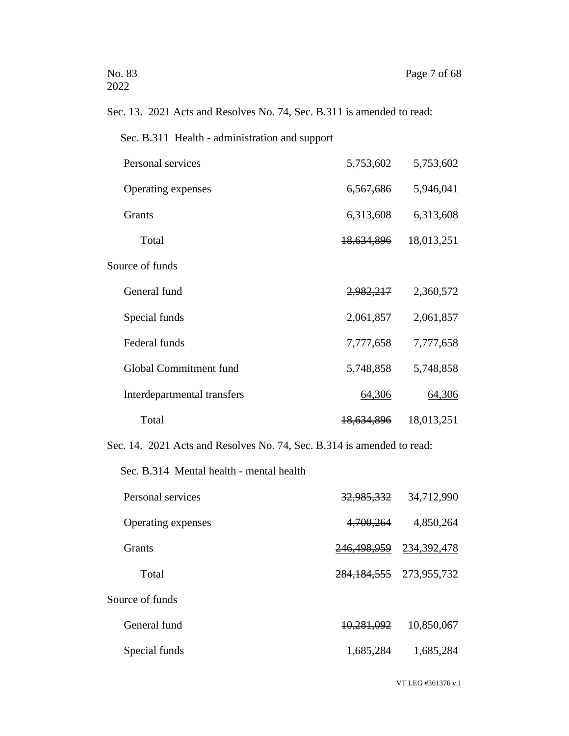# Sec. 13. 2021 Acts and Resolves No. 74, Sec. B.311 is amended to read:

| Personal services           | 5,753,602             | 5,753,602  |
|-----------------------------|-----------------------|------------|
| Operating expenses          | 6,567,686             | 5,946,041  |
| Grants                      | 6,313,608             | 6,313,608  |
| Total                       | 18,634,896            | 18,013,251 |
| Source of funds             |                       |            |
| General fund                | 2,982,217             | 2,360,572  |
| Special funds               | 2,061,857             | 2,061,857  |
| Federal funds               | 7,777,658             | 7,777,658  |
| Global Commitment fund      | 5,748,858             | 5,748,858  |
| Interdepartmental transfers | 64,306                | 64,306     |
| Total                       | <del>18,634,896</del> | 18,013,251 |

Sec. 14. 2021 Acts and Resolves No. 74, Sec. B.314 is amended to read:

Sec. B.314 Mental health - mental health

| Personal services  | 32,985,332             | 34,712,990    |
|--------------------|------------------------|---------------|
| Operating expenses | 4,700,264              | 4,850,264     |
| <b>Grants</b>      | <del>246,498,959</del> | 234, 392, 478 |
| Total              | 284, 184, 555          | 273,955,732   |
| Source of funds    |                        |               |
| General fund       | 10,281,092             | 10,850,067    |
| Special funds      | 1,685,284              | 1,685,284     |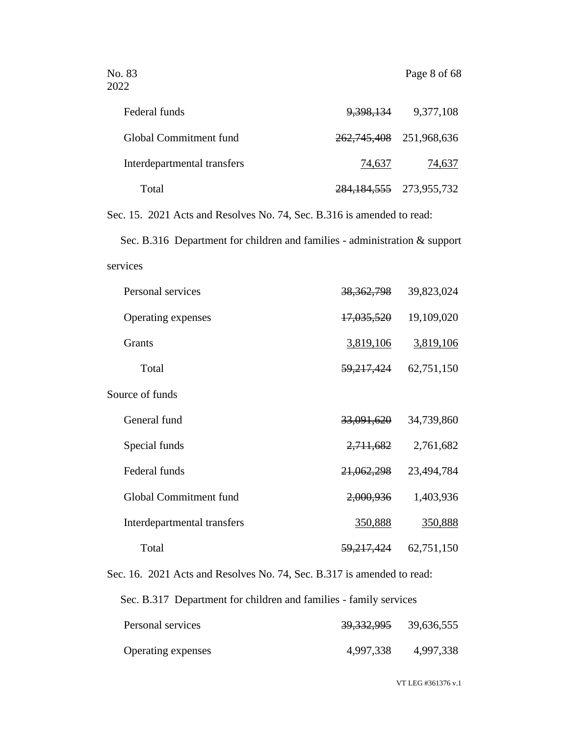| Federal funds               | <del>9,398,13</del> 4 | 9,377,108                   |
|-----------------------------|-----------------------|-----------------------------|
| Global Commitment fund      |                       | 262, 745, 408 251, 968, 636 |
| Interdepartmental transfers | 74,637                | 74,637                      |
| Total                       |                       | 284, 184, 555 273, 955, 732 |

Sec. 15. 2021 Acts and Resolves No. 74, Sec. B.316 is amended to read:

Sec. B.316 Department for children and families - administration & support services

| Personal services           | 38, 362, 798          | 39,823,024 |
|-----------------------------|-----------------------|------------|
| Operating expenses          | <del>17,035,520</del> | 19,109,020 |
| Grants                      | 3,819,106             | 3,819,106  |
| Total                       | 59,217,424            | 62,751,150 |
| Source of funds             |                       |            |
| General fund                | 33,091,620            | 34,739,860 |
| Special funds               | 2,711,682             | 2,761,682  |
| Federal funds               | 21,062,298            | 23,494,784 |
| Global Commitment fund      | 2,000,936             | 1,403,936  |
| Interdepartmental transfers | 350,888               | 350,888    |
| Total                       | 59, 217, 424          | 62,751,150 |

Sec. 16. 2021 Acts and Resolves No. 74, Sec. B.317 is amended to read:

Sec. B.317 Department for children and families - family services

| Personal services  | <del>39,332,995</del> | 39,636,555 |
|--------------------|-----------------------|------------|
| Operating expenses | 4,997,338             | 4,997,338  |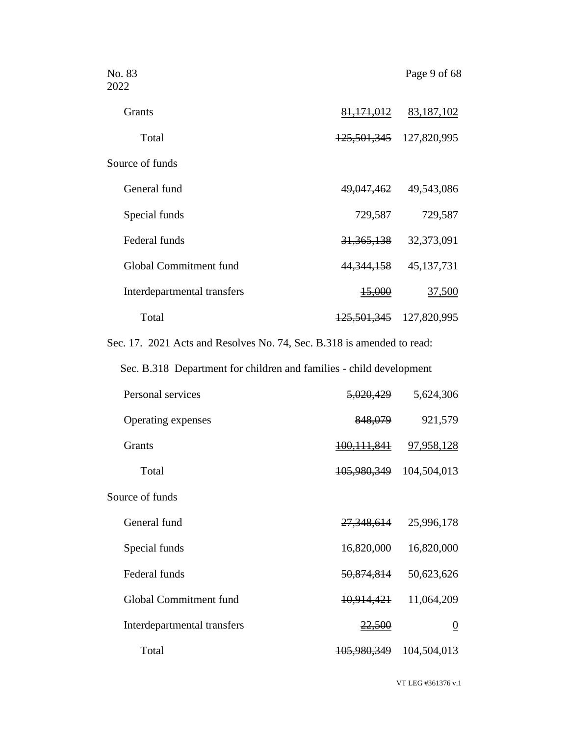| No. 83<br>2022                                                         |                               | Page 9 of 68                    |
|------------------------------------------------------------------------|-------------------------------|---------------------------------|
| Grants                                                                 |                               | $\frac{81,171,012}{83,187,102}$ |
| Total                                                                  | 125, 501, 345 127, 820, 995   |                                 |
| Source of funds                                                        |                               |                                 |
| General fund                                                           |                               | 49,047,462 49,543,086           |
| Special funds                                                          | 729,587                       | 729,587                         |
| Federal funds                                                          |                               | 31, 365, 138 32, 373, 091       |
| Global Commitment fund                                                 | <del>44,344,158</del>         | 45,137,731                      |
| Interdepartmental transfers                                            | <del>15,000</del>             | <u>37,500</u>                   |
| Total                                                                  | 125, 501, 345 127, 820, 995   |                                 |
| Sec. 17. 2021 Acts and Resolves No. 74, Sec. B.318 is amended to read: |                               |                                 |
| Sec. B.318 Department for children and families - child development    |                               |                                 |
| Personal services                                                      | <del>5,020,429</del>          | 5,624,306                       |
| Operating expenses                                                     | <del>848,079</del>            | 921,579                         |
| <b>Grants</b>                                                          | <u>100,111,841</u> 97,958,128 |                                 |
| Total                                                                  | 105,980,349 104,504,013       |                                 |
| Source of funds                                                        |                               |                                 |
| General fund                                                           | <del>27,348,614</del>         | 25,996,178                      |
| Special funds                                                          | 16,820,000                    | 16,820,000                      |
| Federal funds                                                          | 50,874,814                    | 50,623,626                      |
| Global Commitment fund                                                 | 10,914,421                    | 11,064,209                      |
| Interdepartmental transfers                                            | 22.500                        | $\overline{0}$                  |
| Total                                                                  | 105,980,349                   | 104,504,013                     |

VT LEG #361376 v.1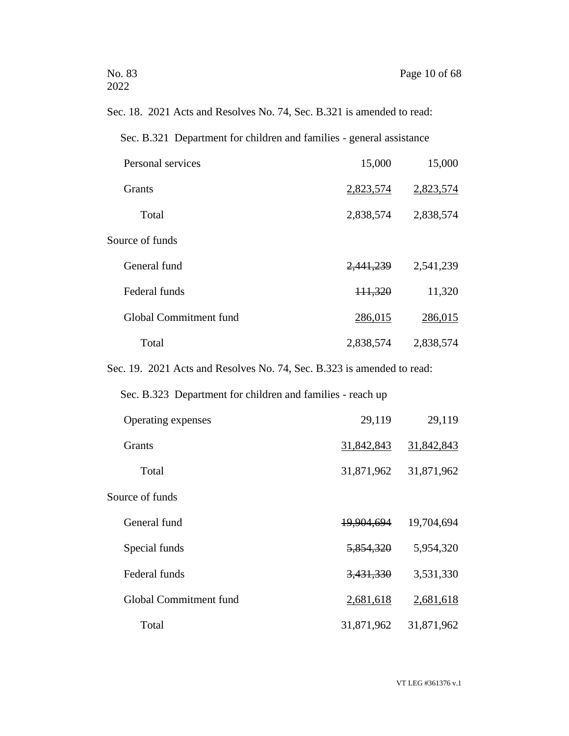Sec. 18. 2021 Acts and Resolves No. 74, Sec. B.321 is amended to read:

Sec. B.321 Department for children and families - general assistance

| Personal services      | 15,000    | 15,000    |
|------------------------|-----------|-----------|
| <b>Grants</b>          | 2,823,574 | 2,823,574 |
| Total                  | 2,838,574 | 2,838,574 |
| Source of funds        |           |           |
| General fund           | 2,441,239 | 2,541,239 |
| Federal funds          | 111,320   | 11,320    |
| Global Commitment fund | 286,015   | 286,015   |
| Total                  | 2,838,574 | 2,838,574 |

Sec. 19. 2021 Acts and Resolves No. 74, Sec. B.323 is amended to read:

Sec. B.323 Department for children and families - reach up

| Operating expenses            | 29,119     | 29,119     |
|-------------------------------|------------|------------|
| <b>Grants</b>                 | 31,842,843 | 31,842,843 |
| Total                         | 31,871,962 | 31,871,962 |
| Source of funds               |            |            |
| General fund                  | 19,904,694 | 19,704,694 |
| Special funds                 | 5,854,320  | 5,954,320  |
| Federal funds                 | 3,431,330  | 3,531,330  |
| <b>Global Commitment fund</b> | 2,681,618  | 2,681,618  |
| Total                         | 31,871,962 | 31,871,962 |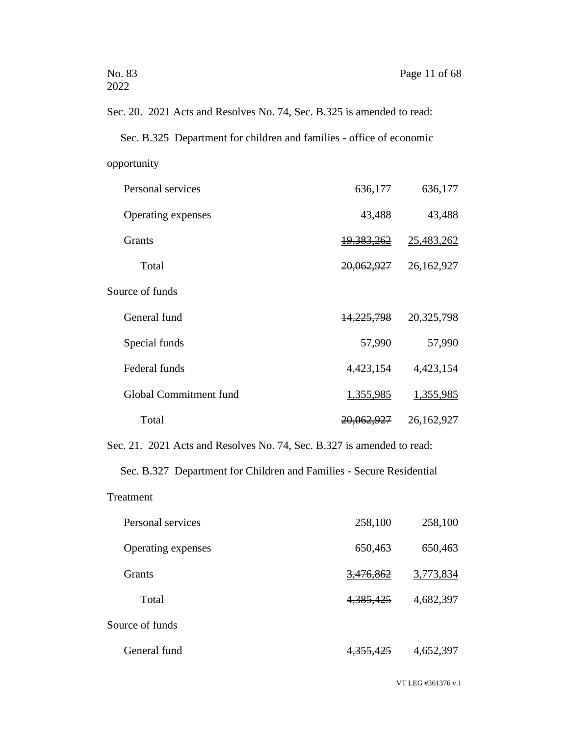Sec. 20. 2021 Acts and Resolves No. 74, Sec. B.325 is amended to read: Sec. B.325 Department for children and families - office of economic opportunity

| Personal services      | 636,177               | 636,177    |
|------------------------|-----------------------|------------|
| Operating expenses     | 43,488                | 43,488     |
| <b>Grants</b>          | 19,383,262            | 25,483,262 |
| Total                  | 20,062,927            | 26,162,927 |
| Source of funds        |                       |            |
| General fund           | 14,225,798            | 20,325,798 |
| Special funds          | 57,990                | 57,990     |
| Federal funds          | 4,423,154             | 4,423,154  |
| Global Commitment fund | 1,355,985             | 1,355,985  |
| Total                  | <del>20,062,927</del> | 26,162,927 |

Sec. 21. 2021 Acts and Resolves No. 74, Sec. B.327 is amended to read:

Sec. B.327 Department for Children and Families - Secure Residential

Treatment

| Personal services  | 258,100              | 258,100   |
|--------------------|----------------------|-----------|
| Operating expenses | 650,463              | 650,463   |
| Grants             | <del>3,476,862</del> | 3,773,834 |
| Total              | 4, 385, 425          | 4,682,397 |
| Source of funds    |                      |           |
| General fund       | <del>4,355,425</del> | 4,652,397 |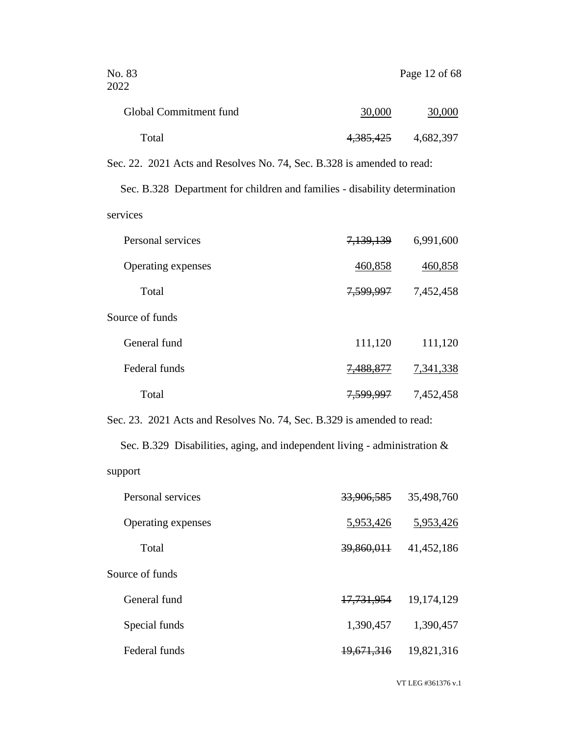| No. 83<br>2022                                                         |           | Page 12 of 68 |
|------------------------------------------------------------------------|-----------|---------------|
| Global Commitment fund                                                 | 30,000    | 30,000        |
| Total                                                                  | 4,385,425 | 4,682,397     |
| Sec. 22. 2021 Acts and Resolves No. 74, Sec. B.328 is amended to read: |           |               |

Sec. B.328 Department for children and families - disability determination services

| Personal services  | 7,139,139            | 6,991,600 |
|--------------------|----------------------|-----------|
| Operating expenses | 460,858              | 460,858   |
| Total              | 7,599,997            | 7,452,458 |
| Source of funds    |                      |           |
| General fund       | 111,120              | 111,120   |
| Federal funds      | 7,488,877            | 7,341,338 |
| Total              | <del>7,599,997</del> | 7,452,458 |

Sec. 23. 2021 Acts and Resolves No. 74, Sec. B.329 is amended to read:

Sec. B.329 Disabilities, aging, and independent living - administration & support

| Personal services  | 33,906,585            | 35,498,760 |
|--------------------|-----------------------|------------|
| Operating expenses | 5,953,426             | 5,953,426  |
| Total              | <del>39,860,011</del> | 41,452,186 |
| Source of funds    |                       |            |
| General fund       | 17,731,954            | 19,174,129 |
| Special funds      | 1,390,457             | 1,390,457  |
| Federal funds      | <del>19,671,316</del> | 19,821,316 |
|                    |                       |            |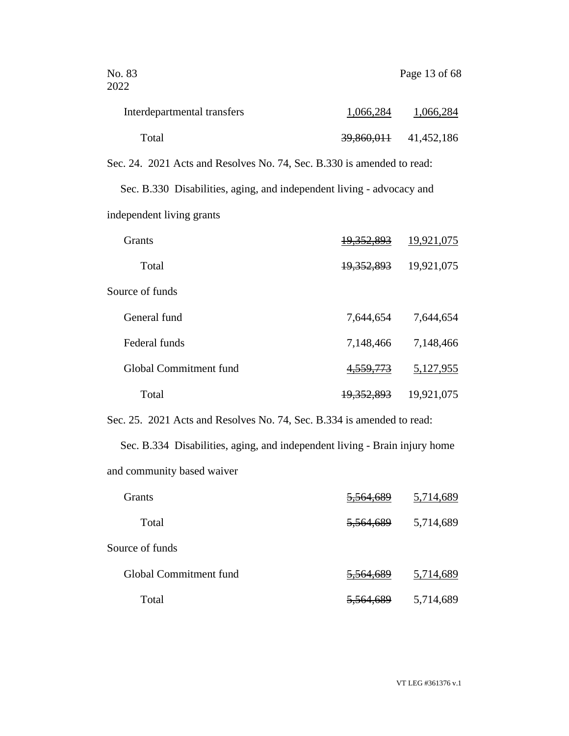| No. 83<br>2022                                                         |                       | Page 13 of 68 |
|------------------------------------------------------------------------|-----------------------|---------------|
| Interdepartmental transfers                                            | 1,066,284             | 1,066,284     |
| Total                                                                  | 39,860,011            | 41,452,186    |
| Sec. 24. 2021 Acts and Resolves No. 74, Sec. B.330 is amended to read: |                       |               |
| Sec. B.330 Disabilities, aging, and independent living - advocacy and  |                       |               |
| independent living grants                                              |                       |               |
| <b>Grants</b>                                                          | <del>19,352,893</del> | 19,921,075    |
| Total                                                                  | <del>19,352,893</del> | 19,921,075    |

| Source of funds        |                       |            |
|------------------------|-----------------------|------------|
| General fund           | 7,644,654             | 7,644,654  |
| Federal funds          | 7,148,466             | 7,148,466  |
| Global Commitment fund | 4, 559, 773           | 5,127,955  |
| Total                  | <del>19,352,893</del> | 19,921,075 |

Sec. 25. 2021 Acts and Resolves No. 74, Sec. B.334 is amended to read:

Sec. B.334 Disabilities, aging, and independent living - Brain injury home and community based waiver

| Grants                 | 5,564,689 | 5,714,689 |
|------------------------|-----------|-----------|
| Total                  | 5,564,689 | 5,714,689 |
| Source of funds        |           |           |
| Global Commitment fund | 5,564,689 | 5,714,689 |
| Total                  | 5,564,689 | 5,714,689 |

VT LEG #361376 v.1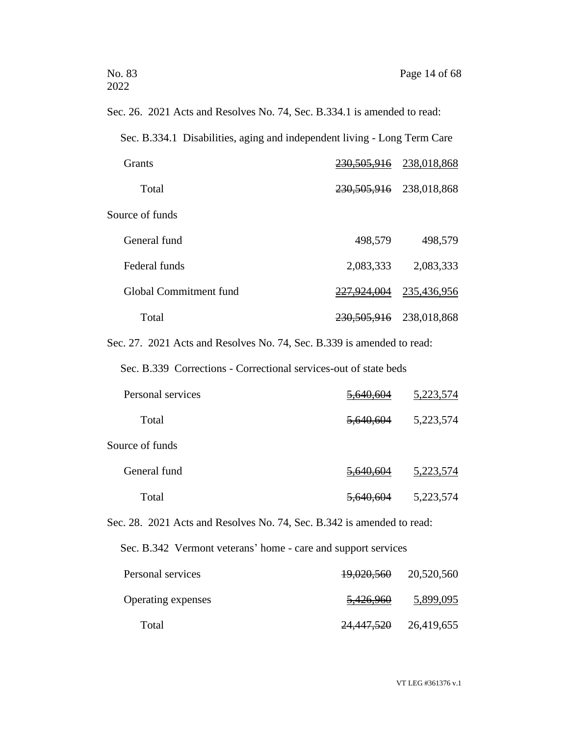| Sec. 26. 2021 Acts and Resolves No. 74, Sec. B.334.1 is amended to read: |                        |                             |
|--------------------------------------------------------------------------|------------------------|-----------------------------|
| Sec. B.334.1 Disabilities, aging and independent living - Long Term Care |                        |                             |
| Grants                                                                   | <del>230,505,916</del> | 238,018,868                 |
| Total                                                                    |                        | 230, 505, 916 238, 018, 868 |
| Source of funds                                                          |                        |                             |
| General fund                                                             | 498,579                | 498,579                     |
| Federal funds                                                            | 2,083,333              | 2,083,333                   |
| Global Commitment fund                                                   | <del>227,924,004</del> | 235,436,956                 |
| Total                                                                    |                        | 230, 505, 916 238, 018, 868 |
| Sec. 27. 2021 Acts and Resolves No. 74, Sec. B.339 is amended to read:   |                        |                             |
| Sec. B.339 Corrections - Correctional services-out of state beds         |                        |                             |
| Personal services                                                        | <del>5,640,604</del>   | <u>5,223,574</u>            |
| Total                                                                    | <del>5,640,604</del>   | 5,223,574                   |
| Source of funds                                                          |                        |                             |
| General fund                                                             | <u>5,640,604</u>       | <u>5,223,574</u>            |
| Total                                                                    | <del>5,640,604</del>   | 5,223,574                   |
| Sec. 28. 2021 Acts and Resolves No. 74, Sec. B.342 is amended to read:   |                        |                             |
| Sec. B.342 Vermont veterans' home - care and support services            |                        |                             |
| Personal services                                                        | 19,020,560             | 20,520,560                  |
| Operating expenses                                                       | <del>5,426,960</del>   | 5,899,095                   |
| Total                                                                    | 24,447,520             | 26,419,655                  |

VT LEG #361376 v.1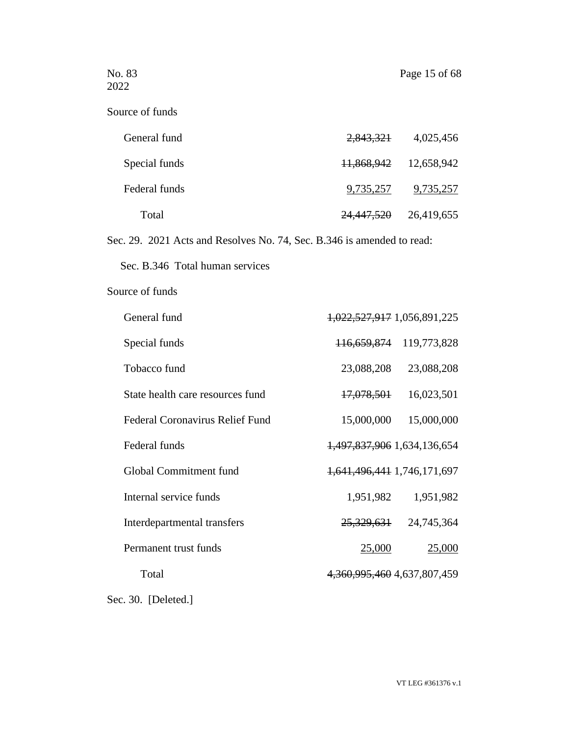| No. 83<br>2022                                                         |                             | Page 15 of 68    |
|------------------------------------------------------------------------|-----------------------------|------------------|
| Source of funds                                                        |                             |                  |
| General fund                                                           | <del>2,843,321</del>        | 4,025,456        |
| Special funds                                                          | <del>11,868,942</del>       | 12,658,942       |
| Federal funds                                                          | <u>9,735,257</u>            | <u>9,735,257</u> |
| Total                                                                  | <del>24,447,520</del>       | 26,419,655       |
| Sec. 29. 2021 Acts and Resolves No. 74, Sec. B.346 is amended to read: |                             |                  |
| Sec. B.346 Total human services                                        |                             |                  |
| Source of funds                                                        |                             |                  |
| General fund                                                           | 1,022,527,917 1,056,891,225 |                  |
| Special funds                                                          | <del>116,659,874</del>      | 119,773,828      |
| Tobacco fund                                                           | 23,088,208                  | 23,088,208       |
| State health care resources fund                                       | <del>17,078,501</del>       | 16,023,501       |
| <b>Federal Coronavirus Relief Fund</b>                                 | 15,000,000                  | 15,000,000       |
| Federal funds                                                          | 1,497,837,906 1,634,136,654 |                  |
| Global Commitment fund                                                 | 1,641,496,441 1,746,171,697 |                  |
| Internal service funds                                                 | 1,951,982                   | 1,951,982        |
| Interdepartmental transfers                                            | <del>25,329,631</del>       | 24,745,364       |
| Permanent trust funds                                                  | <u>25,000</u>               | <u>25,000</u>    |
| Total                                                                  | 4,360,995,460 4,637,807,459 |                  |
| Sec. 30. [Deleted.]                                                    |                             |                  |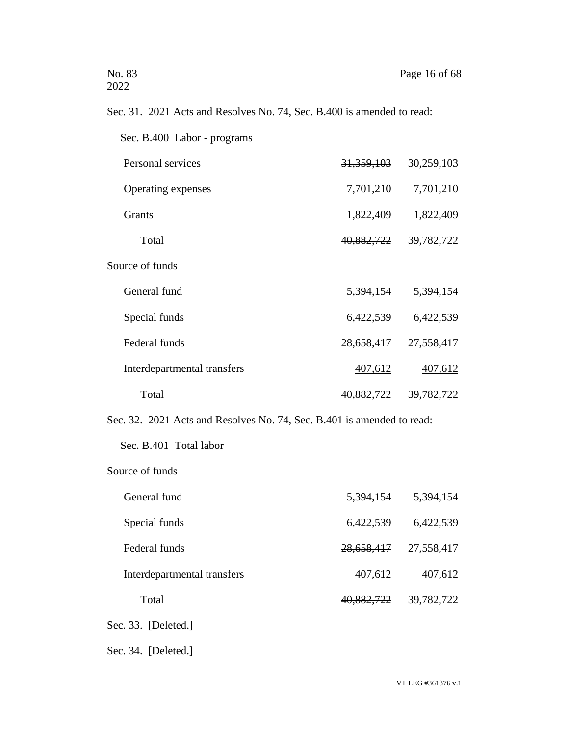# Sec. 31. 2021 Acts and Resolves No. 74, Sec. B.400 is amended to read:

| Sec. B.400 Labor - programs |            |            |
|-----------------------------|------------|------------|
| Personal services           | 31,359,103 | 30,259,103 |
| Operating expenses          | 7,701,210  | 7,701,210  |
| <b>Grants</b>               | 1,822,409  | 1,822,409  |
| Total                       | 40,882,722 | 39,782,722 |
| Source of funds             |            |            |
| General fund                | 5,394,154  | 5,394,154  |
| Special funds               | 6,422,539  | 6,422,539  |
| Federal funds               | 28,658,417 | 27,558,417 |
| Interdepartmental transfers | 407,612    | 407,612    |
| Total                       | 40,882,722 | 39,782,722 |
|                             |            |            |

Sec. 32. 2021 Acts and Resolves No. 74, Sec. B.401 is amended to read:

Sec. B.401 Total labor

## Source of funds

| General fund                | 5,394,154  | 5,394,154  |
|-----------------------------|------------|------------|
| Special funds               | 6,422,539  | 6,422,539  |
| Federal funds               | 28,658,417 | 27,558,417 |
| Interdepartmental transfers | 407,612    | 407,612    |
| Total                       | 40,882,722 | 39,782,722 |

Sec. 33. [Deleted.]

Sec. 34. [Deleted.]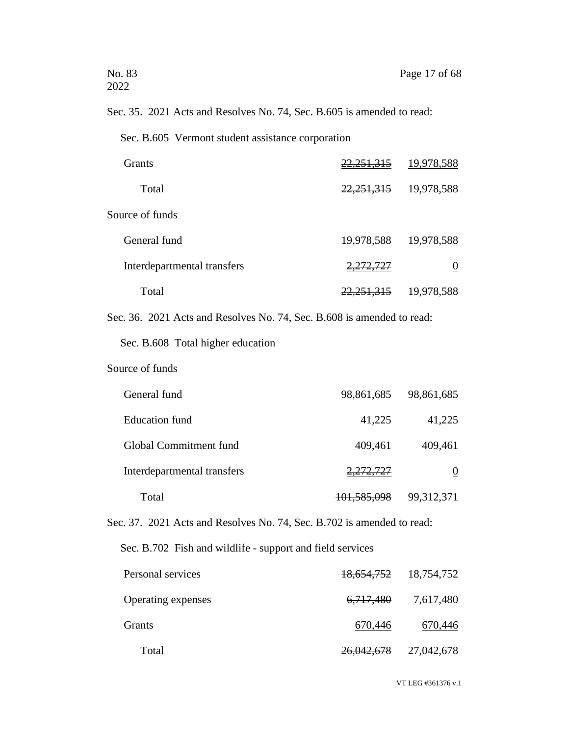Sec. 35. 2021 Acts and Resolves No. 74, Sec. B.605 is amended to read:

Sec. B.605 Vermont student assistance corporation

| <b>Grants</b>               | 22,251,315           | 19,978,588 |
|-----------------------------|----------------------|------------|
| Total                       | 22, 251, 315         | 19,978,588 |
| Source of funds             |                      |            |
| General fund                | 19,978,588           | 19,978,588 |
| Interdepartmental transfers | <del>2,272,727</del> |            |
| Total                       | 22,251,315           | 19,978,588 |

Sec. 36. 2021 Acts and Resolves No. 74, Sec. B.608 is amended to read:

Sec. B.608 Total higher education

## Source of funds

| General fund                | 98,861,685             | 98,861,685   |
|-----------------------------|------------------------|--------------|
| <b>Education</b> fund       | 41,225                 | 41,225       |
| Global Commitment fund      | 409,461                | 409,461      |
| Interdepartmental transfers | <del>2,272,727</del>   | 0            |
| Total                       | <del>101,585,098</del> | 99, 312, 371 |

Sec. 37. 2021 Acts and Resolves No. 74, Sec. B.702 is amended to read:

Sec. B.702 Fish and wildlife - support and field services

| Personal services         |                      | 18,654,752 18,754,752 |
|---------------------------|----------------------|-----------------------|
| <b>Operating expenses</b> | <del>6,717,480</del> | 7,617,480             |
| Grants                    | 670,446              | 670,446               |
| Total                     | 26,042,678           | 27,042,678            |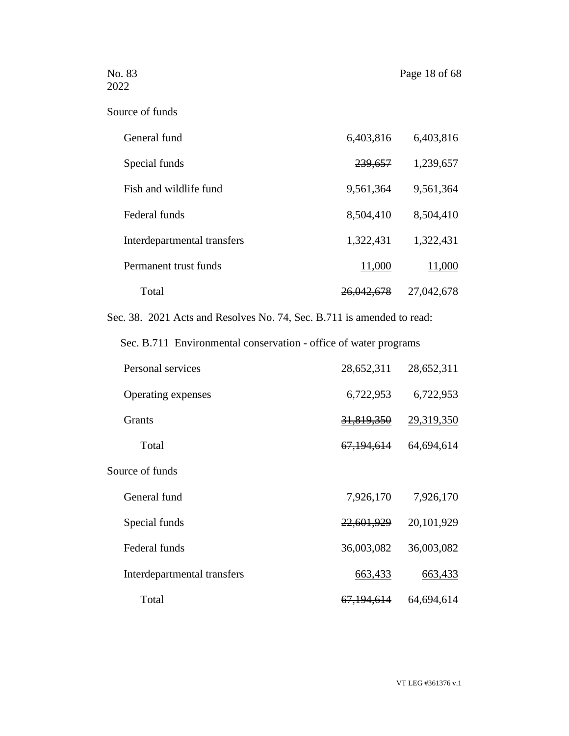No. 83 Page 18 of 68

| Source of funds |  |  |
|-----------------|--|--|
|-----------------|--|--|

| General fund                | 6,403,816             | 6,403,816  |
|-----------------------------|-----------------------|------------|
| Special funds               | 239,657               | 1,239,657  |
| Fish and wildlife fund      | 9,561,364             | 9,561,364  |
| Federal funds               | 8,504,410             | 8,504,410  |
| Interdepartmental transfers | 1,322,431             | 1,322,431  |
| Permanent trust funds       | 11,000                | 11,000     |
| Total                       | <del>26,042,678</del> | 27,042,678 |

Sec. 38. 2021 Acts and Resolves No. 74, Sec. B.711 is amended to read:

Sec. B.711 Environmental conservation - office of water programs

| Personal services           | 28,652,311              | 28,652,311 |
|-----------------------------|-------------------------|------------|
| Operating expenses          | 6,722,953               | 6,722,953  |
| Grants                      | 31,819,350              | 29,319,350 |
| Total                       | 67,194,614              | 64,694,614 |
| Source of funds             |                         |            |
| General fund                | 7,926,170               | 7,926,170  |
| Special funds               | 22,601,929              | 20,101,929 |
| Federal funds               | 36,003,082              | 36,003,082 |
| Interdepartmental transfers | 663,433                 | 663,433    |
| Total                       | <del>67, 194, 614</del> | 64,694,614 |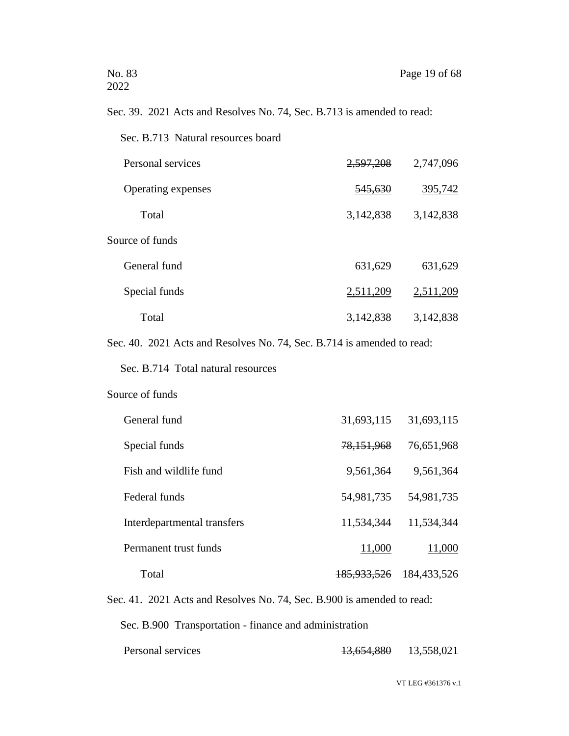# Sec. 39. 2021 Acts and Resolves No. 74, Sec. B.713 is amended to read:

| Sec. B.713 Natural resources board                                     |                    |           |
|------------------------------------------------------------------------|--------------------|-----------|
| Personal services                                                      | 2,597,208          | 2,747,096 |
| Operating expenses                                                     | <del>545,630</del> | 395,742   |
| Total                                                                  | 3,142,838          | 3,142,838 |
| Source of funds                                                        |                    |           |
| General fund                                                           | 631,629            | 631,629   |
| Special funds                                                          | 2,511,209          | 2,511,209 |
| Total                                                                  | 3,142,838          | 3,142,838 |
| Sec. 40. 2021 Acts and Resolves No. 74, Sec. B.714 is amended to read: |                    |           |
| Sec. B.714 Total natural resources                                     |                    |           |

#### Source of funds

| General fund                | 31,693,115             | 31,693,115  |
|-----------------------------|------------------------|-------------|
| Special funds               | 78,151,968             | 76,651,968  |
| Fish and wildlife fund      | 9,561,364              | 9,561,364   |
| Federal funds               | 54,981,735             | 54,981,735  |
| Interdepartmental transfers | 11,534,344             | 11,534,344  |
| Permanent trust funds       | 11,000                 | 11,000      |
| Total                       | <del>185,933,526</del> | 184,433,526 |

Sec. 41. 2021 Acts and Resolves No. 74, Sec. B.900 is amended to read:

Sec. B.900 Transportation - finance and administration

| Personal services | 13.654.880<br>13.03 <del>1</del> .000 | 13,558,021 |
|-------------------|---------------------------------------|------------|
|                   |                                       |            |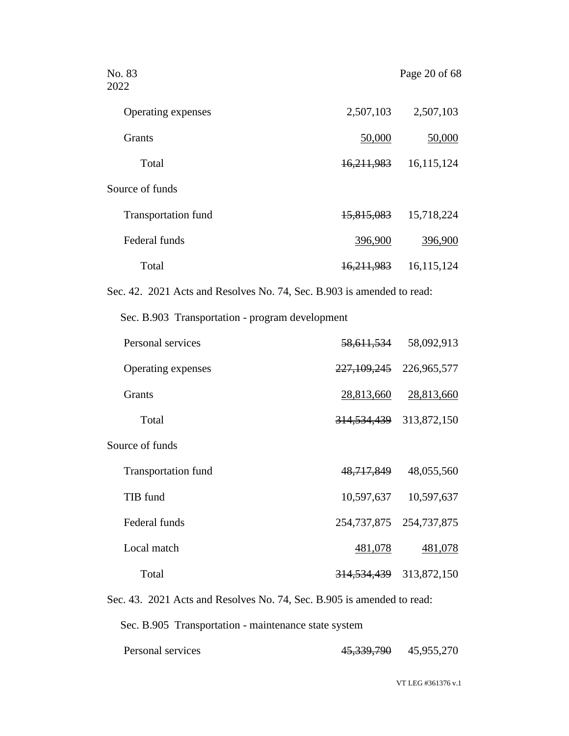| No. 83<br>2022                                                         |            | Page 20 of 68 |
|------------------------------------------------------------------------|------------|---------------|
| Operating expenses                                                     | 2,507,103  | 2,507,103     |
| <b>Grants</b>                                                          | 50,000     | 50,000        |
| Total                                                                  | 16,211,983 | 16,115,124    |
| Source of funds                                                        |            |               |
| <b>Transportation fund</b>                                             | 15,815,083 | 15,718,224    |
| Federal funds                                                          | 396,900    | 396,900       |
| Total                                                                  | 16,211,983 | 16,115,124    |
| Sec. 42. 2021 Acts and Resolves No. 74, Sec. B.903 is amended to read: |            |               |
| Sec. B.903 Transportation - program development                        |            |               |

| Personal services          | 58,611,534             | 58,092,913  |
|----------------------------|------------------------|-------------|
| Operating expenses         | 227,109,245            | 226,965,577 |
| <b>Grants</b>              | 28,813,660             | 28,813,660  |
| Total                      | <del>314,534,439</del> | 313,872,150 |
| Source of funds            |                        |             |
| <b>Transportation fund</b> | 48,717,849             | 48,055,560  |
| TIB fund                   | 10,597,637             | 10,597,637  |
| Federal funds              | 254,737,875            | 254,737,875 |
| Local match                | 481,078                | 481,078     |
| Total                      | <del>314,534,439</del> | 313,872,150 |

Sec. 43. 2021 Acts and Resolves No. 74, Sec. B.905 is amended to read:

Sec. B.905 Transportation - maintenance state system

| Personal services | 45 330 700<br>70.000.170 | 45,955,270 |
|-------------------|--------------------------|------------|
|                   |                          |            |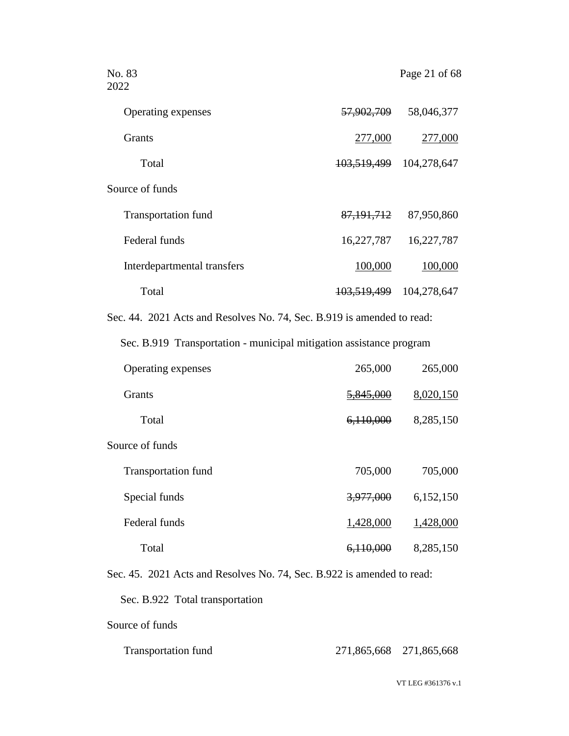| No. 83<br>2022                                                         |                        | Page 21 of 68             |
|------------------------------------------------------------------------|------------------------|---------------------------|
| Operating expenses                                                     |                        | 57,902,709 58,046,377     |
| Grants                                                                 | 277,000                | 277,000                   |
| Total                                                                  | <del>103,519,499</del> | 104,278,647               |
| Source of funds                                                        |                        |                           |
| <b>Transportation fund</b>                                             |                        | 87, 191, 712 87, 950, 860 |
| Federal funds                                                          | 16,227,787             | 16,227,787                |
| Interdepartmental transfers                                            | 100,000                | 100,000                   |
| Total                                                                  | <del>103,519,499</del> | 104,278,647               |
| Sec. 44. 2021 Acts and Resolves No. 74, Sec. B.919 is amended to read: |                        |                           |
| Sec. B.919 Transportation - municipal mitigation assistance program    |                        |                           |
| Operating expenses                                                     | 265,000                | 265,000                   |
| Grants                                                                 | 5,845,000              | 8,020,150                 |
| Total                                                                  | <del>6,110,000</del>   | 8,285,150                 |
| Source of funds                                                        |                        |                           |
| <b>Transportation fund</b>                                             | 705,000                | 705,000                   |
| Special funds                                                          | <del>3,977,000</del>   | 6,152,150                 |
| Federal funds                                                          | 1,428,000              | 1,428,000                 |
| Total                                                                  | 6,110,000              | 8,285,150                 |
| Sec. 45. 2021 Acts and Resolves No. 74, Sec. B.922 is amended to read: |                        |                           |
| Sec. B.922 Total transportation                                        |                        |                           |

Source of funds

| <b>Transportation fund</b> | 271,865,668 271,865,668 |  |
|----------------------------|-------------------------|--|
|                            |                         |  |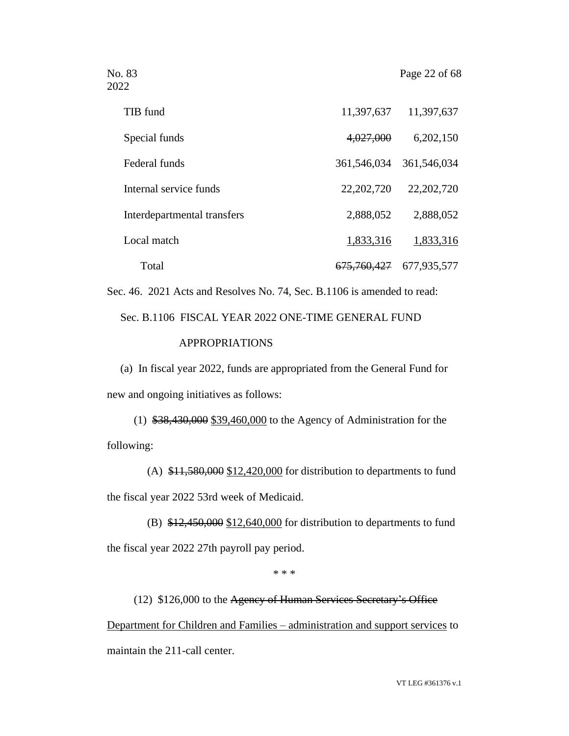| TIB fund                    | 11,397,637             | 11,397,637   |
|-----------------------------|------------------------|--------------|
| Special funds               | 4,027,000              | 6,202,150    |
| Federal funds               | 361,546,034            | 361,546,034  |
| Internal service funds      | 22, 202, 720           | 22, 202, 720 |
| Interdepartmental transfers | 2,888,052              | 2,888,052    |
| Local match                 | 1,833,316              | 1,833,316    |
| Total                       | <del>675,760,427</del> | 677,935,577  |

Sec. 46. 2021 Acts and Resolves No. 74, Sec. B.1106 is amended to read:

Sec. B.1106 FISCAL YEAR 2022 ONE-TIME GENERAL FUND APPROPRIATIONS

(a) In fiscal year 2022, funds are appropriated from the General Fund for new and ongoing initiatives as follows:

(1) \$38,430,000 \$39,460,000 to the Agency of Administration for the following:

(A) \$11,580,000 \$12,420,000 for distribution to departments to fund the fiscal year 2022 53rd week of Medicaid.

(B)  $$12,450,000$   $$12,640,000$  for distribution to departments to fund the fiscal year 2022 27th payroll pay period.

\* \* \*

(12) \$126,000 to the Agency of Human Services Secretary's Office

Department for Children and Families – administration and support services to maintain the 211-call center.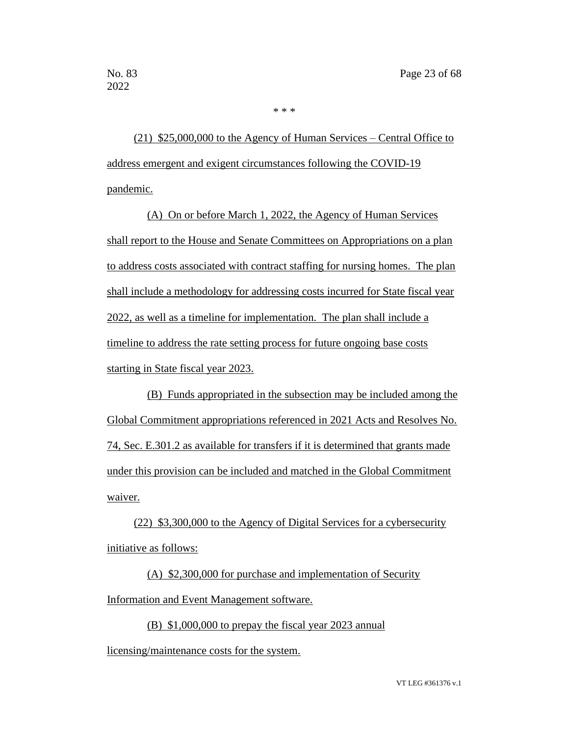(21) \$25,000,000 to the Agency of Human Services – Central Office to address emergent and exigent circumstances following the COVID-19

\* \* \*

pandemic.

(A) On or before March 1, 2022, the Agency of Human Services shall report to the House and Senate Committees on Appropriations on a plan to address costs associated with contract staffing for nursing homes. The plan shall include a methodology for addressing costs incurred for State fiscal year 2022, as well as a timeline for implementation. The plan shall include a timeline to address the rate setting process for future ongoing base costs starting in State fiscal year 2023.

(B) Funds appropriated in the subsection may be included among the Global Commitment appropriations referenced in 2021 Acts and Resolves No. 74, Sec. E.301.2 as available for transfers if it is determined that grants made under this provision can be included and matched in the Global Commitment waiver.

(22) \$3,300,000 to the Agency of Digital Services for a cybersecurity initiative as follows:

(A) \$2,300,000 for purchase and implementation of Security Information and Event Management software.

(B) \$1,000,000 to prepay the fiscal year 2023 annual

licensing/maintenance costs for the system.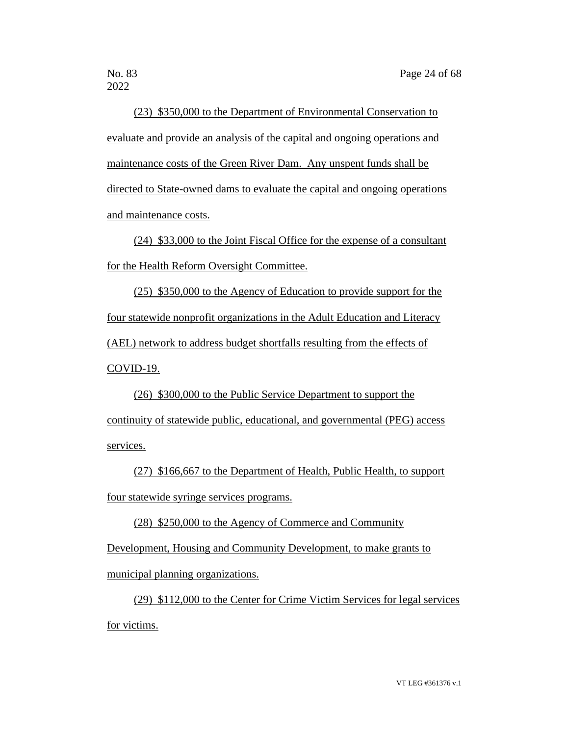2022

(23) \$350,000 to the Department of Environmental Conservation to evaluate and provide an analysis of the capital and ongoing operations and maintenance costs of the Green River Dam. Any unspent funds shall be directed to State-owned dams to evaluate the capital and ongoing operations and maintenance costs.

(24) \$33,000 to the Joint Fiscal Office for the expense of a consultant for the Health Reform Oversight Committee.

(25) \$350,000 to the Agency of Education to provide support for the four statewide nonprofit organizations in the Adult Education and Literacy (AEL) network to address budget shortfalls resulting from the effects of COVID-19.

(26) \$300,000 to the Public Service Department to support the continuity of statewide public, educational, and governmental (PEG) access services.

(27) \$166,667 to the Department of Health, Public Health, to support four statewide syringe services programs.

(28) \$250,000 to the Agency of Commerce and Community

Development, Housing and Community Development, to make grants to

municipal planning organizations.

(29) \$112,000 to the Center for Crime Victim Services for legal services for victims.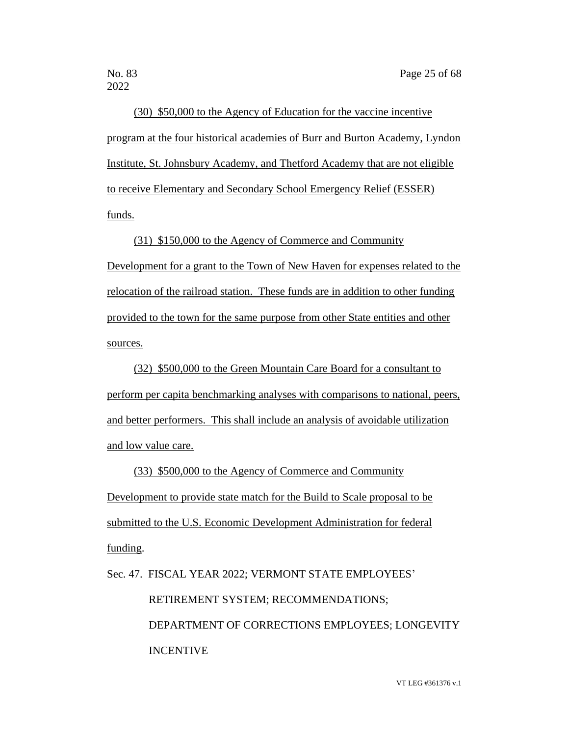2022

(30) \$50,000 to the Agency of Education for the vaccine incentive program at the four historical academies of Burr and Burton Academy, Lyndon Institute, St. Johnsbury Academy, and Thetford Academy that are not eligible to receive Elementary and Secondary School Emergency Relief (ESSER) funds.

(31) \$150,000 to the Agency of Commerce and Community Development for a grant to the Town of New Haven for expenses related to the relocation of the railroad station. These funds are in addition to other funding provided to the town for the same purpose from other State entities and other sources.

(32) \$500,000 to the Green Mountain Care Board for a consultant to perform per capita benchmarking analyses with comparisons to national, peers, and better performers. This shall include an analysis of avoidable utilization and low value care.

(33) \$500,000 to the Agency of Commerce and Community Development to provide state match for the Build to Scale proposal to be submitted to the U.S. Economic Development Administration for federal funding.

Sec. 47. FISCAL YEAR 2022; VERMONT STATE EMPLOYEES'

RETIREMENT SYSTEM; RECOMMENDATIONS;

 DEPARTMENT OF CORRECTIONS EMPLOYEES; LONGEVITY INCENTIVE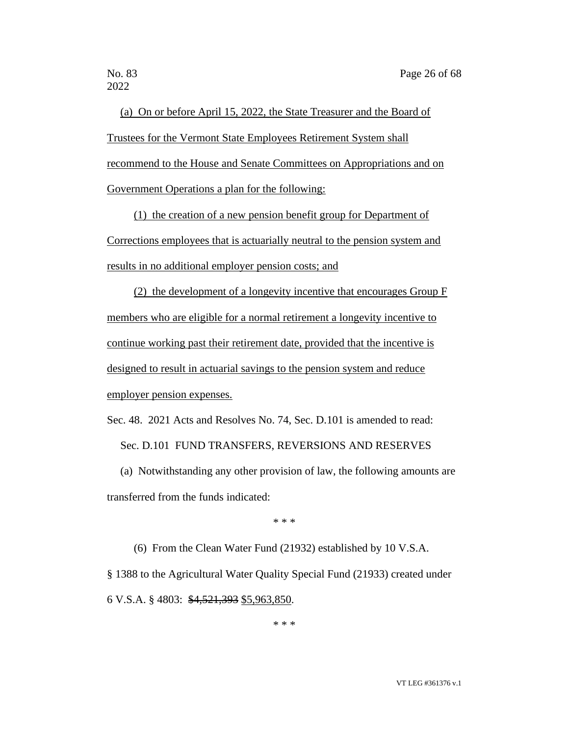(a) On or before April 15, 2022, the State Treasurer and the Board of Trustees for the Vermont State Employees Retirement System shall recommend to the House and Senate Committees on Appropriations and on Government Operations a plan for the following:

(1) the creation of a new pension benefit group for Department of Corrections employees that is actuarially neutral to the pension system and results in no additional employer pension costs; and

(2) the development of a longevity incentive that encourages Group F members who are eligible for a normal retirement a longevity incentive to continue working past their retirement date, provided that the incentive is designed to result in actuarial savings to the pension system and reduce employer pension expenses.

Sec. 48. 2021 Acts and Resolves No. 74, Sec. D.101 is amended to read: Sec. D.101 FUND TRANSFERS, REVERSIONS AND RESERVES

(a) Notwithstanding any other provision of law, the following amounts are transferred from the funds indicated:

\* \* \*

(6) From the Clean Water Fund (21932) established by 10 V.S.A.

§ 1388 to the Agricultural Water Quality Special Fund (21933) created under 6 V.S.A. § 4803: \$4,521,393 \$5,963,850.

\* \* \*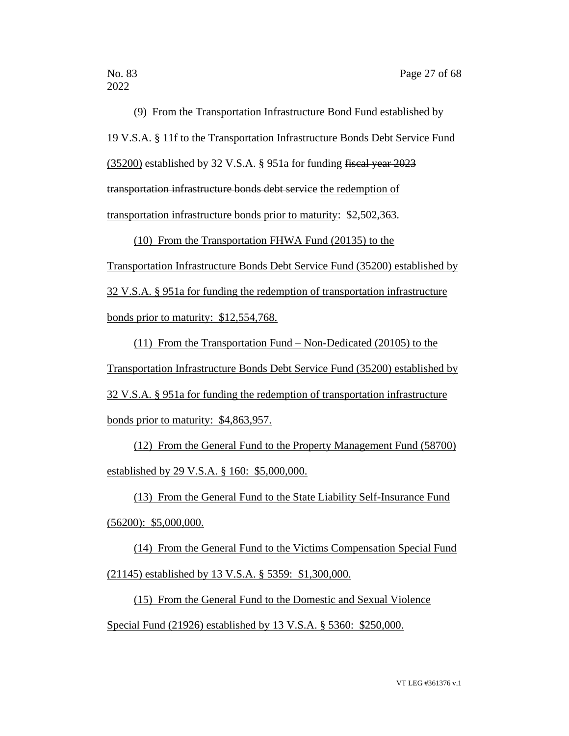(9) From the Transportation Infrastructure Bond Fund established by 19 V.S.A. § 11f to the Transportation Infrastructure Bonds Debt Service Fund (35200) established by 32 V.S.A. § 951a for funding fiscal year 2023 transportation infrastructure bonds debt service the redemption of transportation infrastructure bonds prior to maturity: \$2,502,363.

(10) From the Transportation FHWA Fund (20135) to the

Transportation Infrastructure Bonds Debt Service Fund (35200) established by 32 V.S.A. § 951a for funding the redemption of transportation infrastructure bonds prior to maturity: \$12,554,768.

(11) From the Transportation Fund – Non-Dedicated (20105) to the Transportation Infrastructure Bonds Debt Service Fund (35200) established by 32 V.S.A. § 951a for funding the redemption of transportation infrastructure bonds prior to maturity: \$4,863,957.

(12) From the General Fund to the Property Management Fund (58700) established by 29 V.S.A. § 160: \$5,000,000.

(13) From the General Fund to the State Liability Self-Insurance Fund (56200): \$5,000,000.

(14) From the General Fund to the Victims Compensation Special Fund (21145) established by 13 V.S.A. § 5359: \$1,300,000.

(15) From the General Fund to the Domestic and Sexual Violence Special Fund (21926) established by 13 V.S.A. § 5360: \$250,000.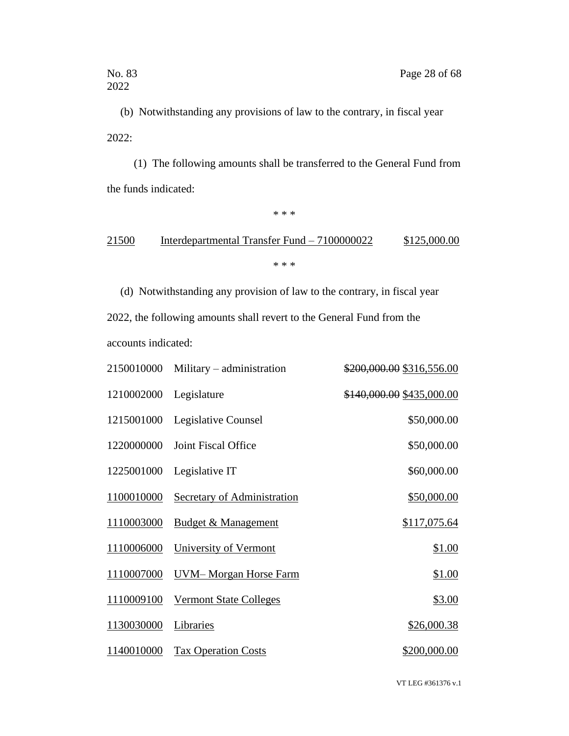(b) Notwithstanding any provisions of law to the contrary, in fiscal year 2022:

(1) The following amounts shall be transferred to the General Fund from the funds indicated:

\* \* \*

# 21500 Interdepartmental Transfer Fund – 7100000022 \$125,000.00 \* \* \*

(d) Notwithstanding any provision of law to the contrary, in fiscal year 2022, the following amounts shall revert to the General Fund from the accounts indicated:

| 2150010000 | Military – administration      | \$200,000.00 \$316,556.00 |
|------------|--------------------------------|---------------------------|
| 1210002000 | Legislature                    | \$140,000.00 \$435,000.00 |
| 1215001000 | Legislative Counsel            | \$50,000.00               |
| 1220000000 | Joint Fiscal Office            | \$50,000.00               |
| 1225001000 | Legislative IT                 | \$60,000.00               |
| 1100010000 | Secretary of Administration    | \$50,000.00               |
| 1110003000 | <b>Budget &amp; Management</b> | \$117,075.64              |
| 1110006000 | University of Vermont          | \$1.00                    |
| 1110007000 | UVM-Morgan Horse Farm          | \$1.00                    |
| 1110009100 | <b>Vermont State Colleges</b>  | \$3.00                    |
| 1130030000 | Libraries                      | \$26,000.38               |
| 1140010000 | <b>Tax Operation Costs</b>     | \$200,000.00              |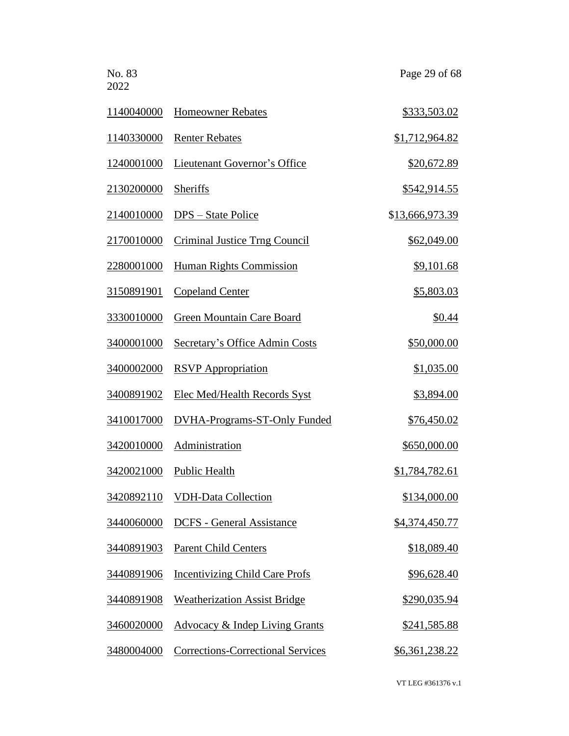| No. 83<br>2022 |                                           | Page 29 of 68         |
|----------------|-------------------------------------------|-----------------------|
| 1140040000     | <b>Homeowner Rebates</b>                  | \$333,503.02          |
| 1140330000     | <b>Renter Rebates</b>                     | \$1,712,964.82        |
| 1240001000     | <b>Lieutenant Governor's Office</b>       | \$20,672.89           |
| 2130200000     | <b>Sheriffs</b>                           | \$542,914.55          |
| 2140010000     | <u> DPS – State Police</u>                | \$13,666,973.39       |
| 2170010000     | Criminal Justice Trng Council             | \$62,049.00           |
| 2280001000     | <b>Human Rights Commission</b>            | \$9,101.68            |
| 3150891901     | <b>Copeland Center</b>                    | <u>\$5,803.03</u>     |
| 3330010000     | Green Mountain Care Board                 | \$0.44                |
| 3400001000     | Secretary's Office Admin Costs            | \$50,000.00           |
| 3400002000     | <b>RSVP</b> Appropriation                 | \$1,035.00            |
| 3400891902     | <b>Elec Med/Health Records Syst</b>       | \$3,894.00            |
| 3410017000     | <b>DVHA-Programs-ST-Only Funded</b>       | \$76,450.02           |
| 3420010000     | Administration                            | \$650,000.00          |
| 3420021000     | <b>Public Health</b>                      | <u>\$1,784,782.61</u> |
| 3420892110     | <b>VDH-Data Collection</b>                | \$134,000.00          |
| 3440060000     | <b>DCFS</b> - General Assistance          | \$4,374,450.77        |
| 3440891903     | <b>Parent Child Centers</b>               | \$18,089.40           |
| 3440891906     | <b>Incentivizing Child Care Profs</b>     | \$96,628.40           |
| 3440891908     | <b>Weatherization Assist Bridge</b>       | <u>\$290,035.94</u>   |
| 3460020000     | <b>Advocacy &amp; Indep Living Grants</b> | \$241,585.88          |
| 3480004000     | <b>Corrections-Correctional Services</b>  | <u>\$6,361,238.22</u> |
|                |                                           |                       |

VT LEG #361376 v.1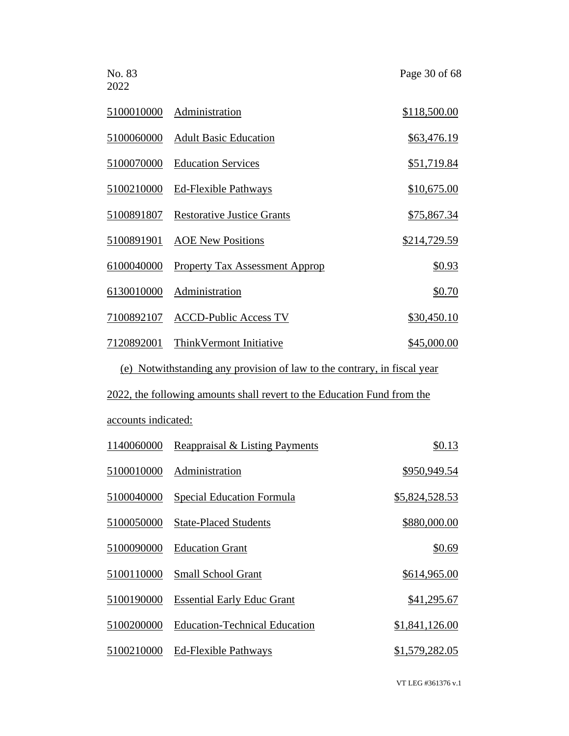No. 83 Page 30 of 68 2022 5100010000 Administration \$118,500.00 5100060000 Adult Basic Education \$63,476.19 5100070000 Education Services \$51,719.84 5100210000 Ed-Flexible Pathways \$10,675.00 5100891807 Restorative Justice Grants \$75,867.34 5100891901 AOE New Positions \$214,729.59 6100040000 Property Tax Assessment Approp \$0.93 61300100<u>00 Administration</u> \$0.70 7100892107 ACCD-Public Access TV \$30,450.10 7120892001 ThinkVermont Initiative \$45,000.00

(e) Notwithstanding any provision of law to the contrary, in fiscal year

2022, the following amounts shall revert to the Education Fund from the

accounts indicated:

| 1140060000 | Reappraisal & Listing Payments       | \$0.13         |
|------------|--------------------------------------|----------------|
| 5100010000 | Administration                       | \$950,949.54   |
| 5100040000 | Special Education Formula            | \$5,824,528.53 |
| 5100050000 | <b>State-Placed Students</b>         | \$880,000.00   |
| 5100090000 | <b>Education Grant</b>               | \$0.69         |
| 5100110000 | <b>Small School Grant</b>            | \$614,965.00   |
| 5100190000 | <b>Essential Early Educ Grant</b>    | \$41,295.67    |
| 5100200000 | <b>Education-Technical Education</b> | \$1,841,126.00 |
| 5100210000 | <b>Ed-Flexible Pathways</b>          | \$1,579,282.05 |
|            |                                      |                |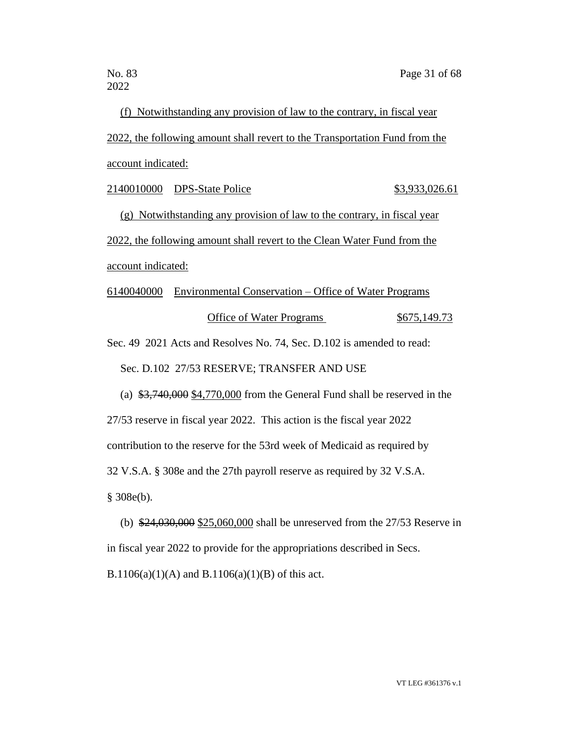(f) Notwithstanding any provision of law to the contrary, in fiscal year 2022, the following amount shall revert to the Transportation Fund from the account indicated:

2140010000 DPS-State Police \$3,933,026.61

(g) Notwithstanding any provision of law to the contrary, in fiscal year 2022, the following amount shall revert to the Clean Water Fund from the account indicated:

6140040000 Environmental Conservation – Office of Water Programs Office of Water Programs  $$675,149.73$ 

Sec. 49 2021 Acts and Resolves No. 74, Sec. D.102 is amended to read:

Sec. D.102 27/53 RESERVE; TRANSFER AND USE

(a) \$3,740,000 \$4,770,000 from the General Fund shall be reserved in the

27/53 reserve in fiscal year 2022. This action is the fiscal year 2022

contribution to the reserve for the 53rd week of Medicaid as required by

32 V.S.A. § 308e and the 27th payroll reserve as required by 32 V.S.A.

§ 308e(b).

(b) \$24,030,000 \$25,060,000 shall be unreserved from the 27/53 Reserve in in fiscal year 2022 to provide for the appropriations described in Secs. B.1106(a)(1)(A) and B.1106(a)(1)(B) of this act.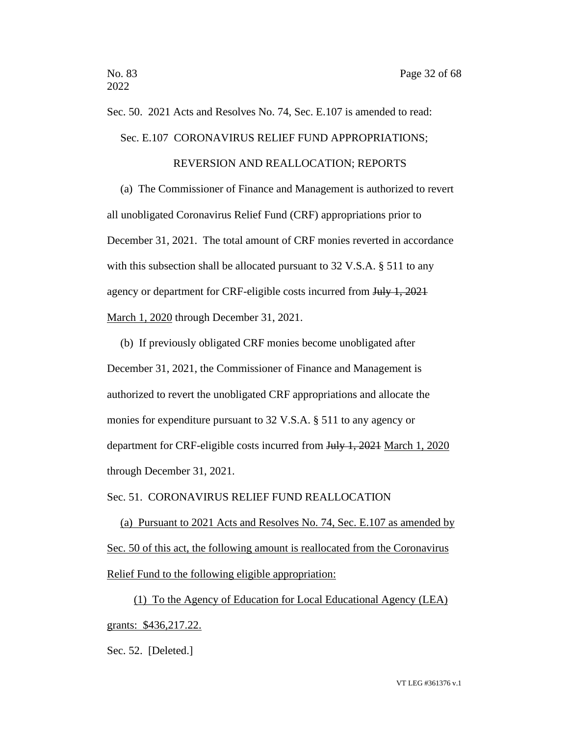# Sec. 50. 2021 Acts and Resolves No. 74, Sec. E.107 is amended to read:

Sec. E.107 CORONAVIRUS RELIEF FUND APPROPRIATIONS;

#### REVERSION AND REALLOCATION; REPORTS

(a) The Commissioner of Finance and Management is authorized to revert all unobligated Coronavirus Relief Fund (CRF) appropriations prior to December 31, 2021. The total amount of CRF monies reverted in accordance with this subsection shall be allocated pursuant to 32 V.S.A. § 511 to any agency or department for CRF-eligible costs incurred from July 1, 2021 March 1, 2020 through December 31, 2021.

(b) If previously obligated CRF monies become unobligated after December 31, 2021, the Commissioner of Finance and Management is authorized to revert the unobligated CRF appropriations and allocate the monies for expenditure pursuant to 32 V.S.A. § 511 to any agency or department for CRF-eligible costs incurred from July 1, 2021 March 1, 2020 through December 31, 2021.

### Sec. 51. CORONAVIRUS RELIEF FUND REALLOCATION

(a) Pursuant to 2021 Acts and Resolves No. 74, Sec. E.107 as amended by Sec. 50 of this act, the following amount is reallocated from the Coronavirus Relief Fund to the following eligible appropriation:

(1) To the Agency of Education for Local Educational Agency (LEA) grants: \$436,217.22.

Sec. 52. [Deleted.]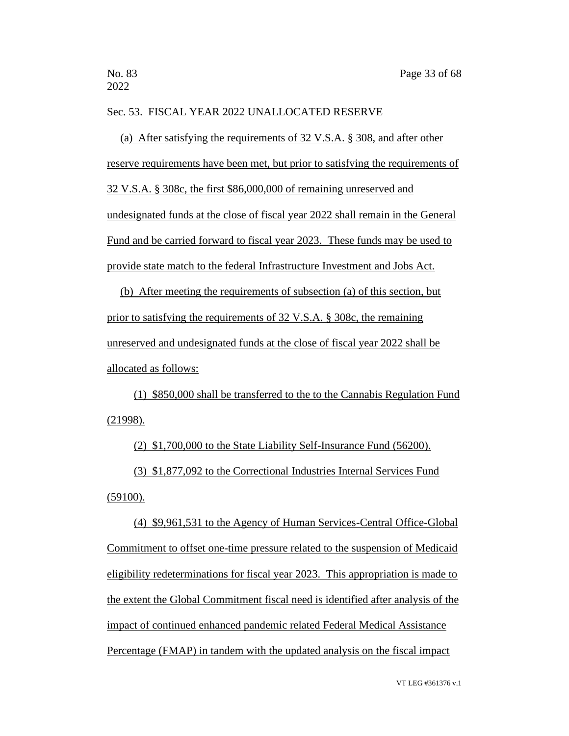#### Sec. 53. FISCAL YEAR 2022 UNALLOCATED RESERVE

(a) After satisfying the requirements of 32 V.S.A. § 308, and after other reserve requirements have been met, but prior to satisfying the requirements of 32 V.S.A. § 308c, the first \$86,000,000 of remaining unreserved and undesignated funds at the close of fiscal year 2022 shall remain in the General Fund and be carried forward to fiscal year 2023. These funds may be used to provide state match to the federal Infrastructure Investment and Jobs Act.

(b) After meeting the requirements of subsection (a) of this section, but prior to satisfying the requirements of 32 V.S.A. § 308c, the remaining unreserved and undesignated funds at the close of fiscal year 2022 shall be allocated as follows:

(1) \$850,000 shall be transferred to the to the Cannabis Regulation Fund (21998).

(2) \$1,700,000 to the State Liability Self-Insurance Fund (56200).

(3) \$1,877,092 to the Correctional Industries Internal Services Fund (59100).

(4) \$9,961,531 to the Agency of Human Services-Central Office-Global Commitment to offset one-time pressure related to the suspension of Medicaid eligibility redeterminations for fiscal year 2023. This appropriation is made to the extent the Global Commitment fiscal need is identified after analysis of the impact of continued enhanced pandemic related Federal Medical Assistance Percentage (FMAP) in tandem with the updated analysis on the fiscal impact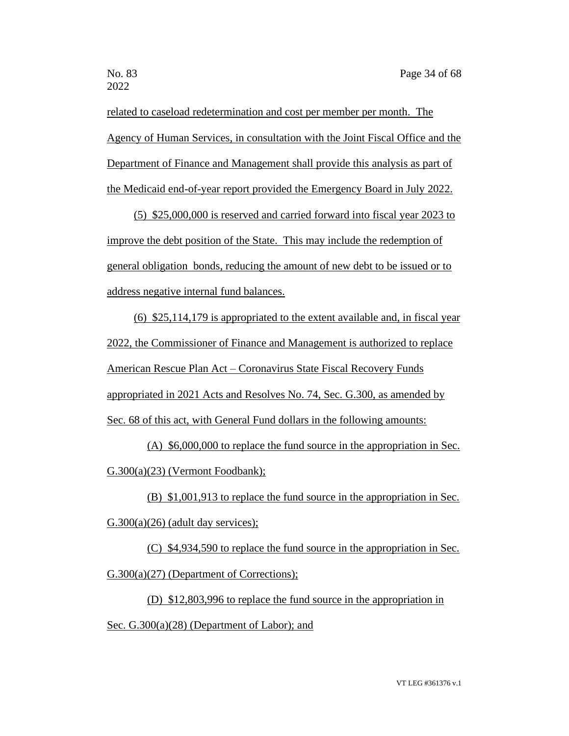related to caseload redetermination and cost per member per month. The Agency of Human Services, in consultation with the Joint Fiscal Office and the Department of Finance and Management shall provide this analysis as part of the Medicaid end-of-year report provided the Emergency Board in July 2022.

(5) \$25,000,000 is reserved and carried forward into fiscal year 2023 to improve the debt position of the State. This may include the redemption of general obligation bonds, reducing the amount of new debt to be issued or to address negative internal fund balances.

(6) \$25,114,179 is appropriated to the extent available and, in fiscal year 2022, the Commissioner of Finance and Management is authorized to replace American Rescue Plan Act – Coronavirus State Fiscal Recovery Funds appropriated in 2021 Acts and Resolves No. 74, Sec. G.300, as amended by Sec. 68 of this act, with General Fund dollars in the following amounts:

(A) \$6,000,000 to replace the fund source in the appropriation in Sec. G.300(a)(23) (Vermont Foodbank);

(B) \$1,001,913 to replace the fund source in the appropriation in Sec.

 $G.300(a)(26)$  (adult day services);

(C) \$4,934,590 to replace the fund source in the appropriation in Sec. G.300(a)(27) (Department of Corrections);

(D) \$12,803,996 to replace the fund source in the appropriation in Sec. G.300(a)(28) (Department of Labor); and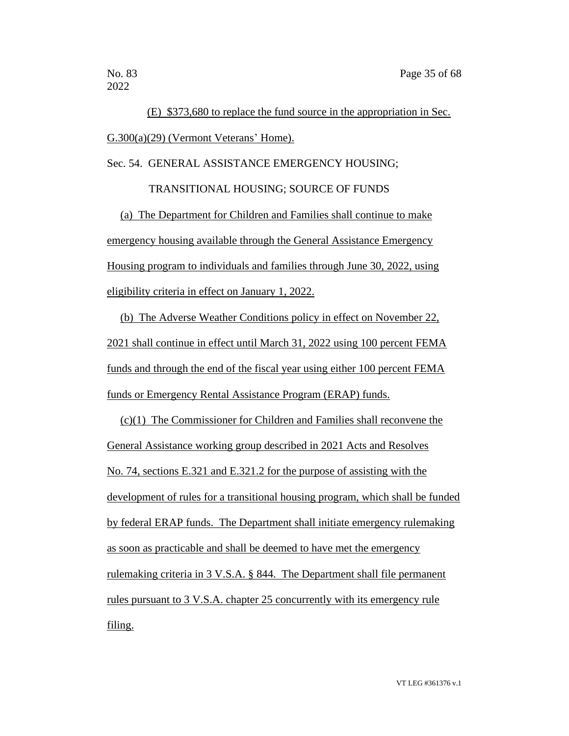2022

(E) \$373,680 to replace the fund source in the appropriation in Sec. G.300(a)(29) (Vermont Veterans' Home).

Sec. 54. GENERAL ASSISTANCE EMERGENCY HOUSING;

TRANSITIONAL HOUSING; SOURCE OF FUNDS

(a) The Department for Children and Families shall continue to make emergency housing available through the General Assistance Emergency Housing program to individuals and families through June 30, 2022, using eligibility criteria in effect on January 1, 2022.

(b) The Adverse Weather Conditions policy in effect on November 22, 2021 shall continue in effect until March 31, 2022 using 100 percent FEMA funds and through the end of the fiscal year using either 100 percent FEMA funds or Emergency Rental Assistance Program (ERAP) funds.

(c)(1) The Commissioner for Children and Families shall reconvene the General Assistance working group described in 2021 Acts and Resolves No. 74, sections E.321 and E.321.2 for the purpose of assisting with the development of rules for a transitional housing program, which shall be funded by federal ERAP funds. The Department shall initiate emergency rulemaking as soon as practicable and shall be deemed to have met the emergency rulemaking criteria in 3 V.S.A. § 844. The Department shall file permanent rules pursuant to 3 V.S.A. chapter 25 concurrently with its emergency rule filing.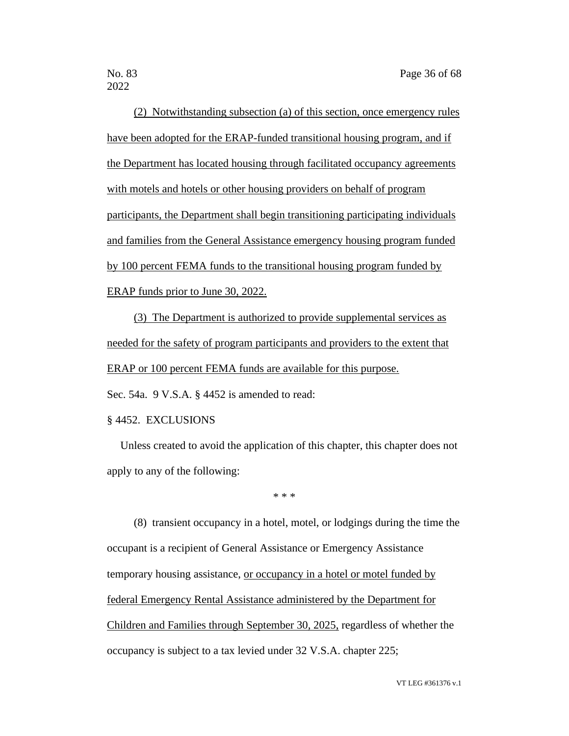2022

(2) Notwithstanding subsection (a) of this section, once emergency rules have been adopted for the ERAP-funded transitional housing program, and if the Department has located housing through facilitated occupancy agreements with motels and hotels or other housing providers on behalf of program participants, the Department shall begin transitioning participating individuals and families from the General Assistance emergency housing program funded by 100 percent FEMA funds to the transitional housing program funded by ERAP funds prior to June 30, 2022.

(3) The Department is authorized to provide supplemental services as needed for the safety of program participants and providers to the extent that ERAP or 100 percent FEMA funds are available for this purpose.

Sec. 54a. 9 V.S.A. § 4452 is amended to read:

#### § 4452. EXCLUSIONS

Unless created to avoid the application of this chapter, this chapter does not apply to any of the following:

\* \* \*

(8) transient occupancy in a hotel, motel, or lodgings during the time the occupant is a recipient of General Assistance or Emergency Assistance temporary housing assistance, or occupancy in a hotel or motel funded by federal Emergency Rental Assistance administered by the Department for Children and Families through September 30, 2025, regardless of whether the occupancy is subject to a tax levied under 32 V.S.A. chapter 225;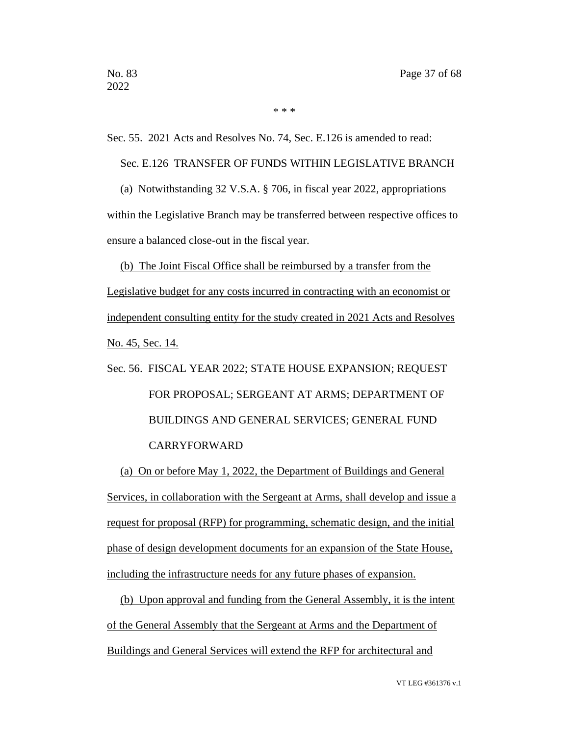\* \* \*

Sec. 55. 2021 Acts and Resolves No. 74, Sec. E.126 is amended to read:

Sec. E.126 TRANSFER OF FUNDS WITHIN LEGISLATIVE BRANCH

(a) Notwithstanding 32 V.S.A. § 706, in fiscal year 2022, appropriations within the Legislative Branch may be transferred between respective offices to ensure a balanced close-out in the fiscal year.

(b) The Joint Fiscal Office shall be reimbursed by a transfer from the Legislative budget for any costs incurred in contracting with an economist or independent consulting entity for the study created in 2021 Acts and Resolves No. 45, Sec. 14.

# Sec. 56. FISCAL YEAR 2022; STATE HOUSE EXPANSION; REQUEST FOR PROPOSAL; SERGEANT AT ARMS; DEPARTMENT OF BUILDINGS AND GENERAL SERVICES; GENERAL FUND CARRYFORWARD

(a) On or before May 1, 2022, the Department of Buildings and General Services, in collaboration with the Sergeant at Arms, shall develop and issue a request for proposal (RFP) for programming, schematic design, and the initial phase of design development documents for an expansion of the State House, including the infrastructure needs for any future phases of expansion.

(b) Upon approval and funding from the General Assembly, it is the intent of the General Assembly that the Sergeant at Arms and the Department of Buildings and General Services will extend the RFP for architectural and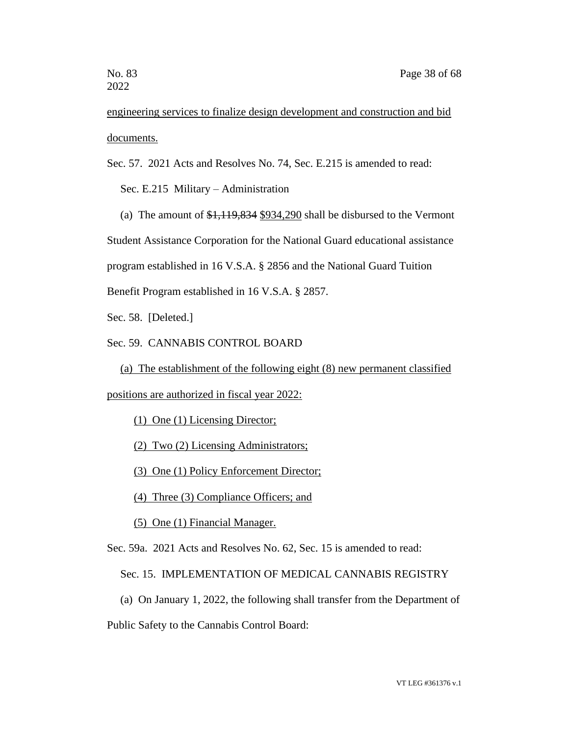engineering services to finalize design development and construction and bid documents.

Sec. 57. 2021 Acts and Resolves No. 74, Sec. E.215 is amended to read:

Sec. E.215 Military – Administration

(a) The amount of \$1,119,834 \$934,290 shall be disbursed to the Vermont

Student Assistance Corporation for the National Guard educational assistance

program established in 16 V.S.A. § 2856 and the National Guard Tuition

Benefit Program established in 16 V.S.A. § 2857.

Sec. 58. [Deleted.]

Sec. 59. CANNABIS CONTROL BOARD

(a) The establishment of the following eight (8) new permanent classified

positions are authorized in fiscal year 2022:

(1) One (1) Licensing Director;

(2) Two (2) Licensing Administrators;

(3) One (1) Policy Enforcement Director;

(4) Three (3) Compliance Officers; and

(5) One (1) Financial Manager.

Sec. 59a. 2021 Acts and Resolves No. 62, Sec. 15 is amended to read:

Sec. 15. IMPLEMENTATION OF MEDICAL CANNABIS REGISTRY

(a) On January 1, 2022, the following shall transfer from the Department of

Public Safety to the Cannabis Control Board: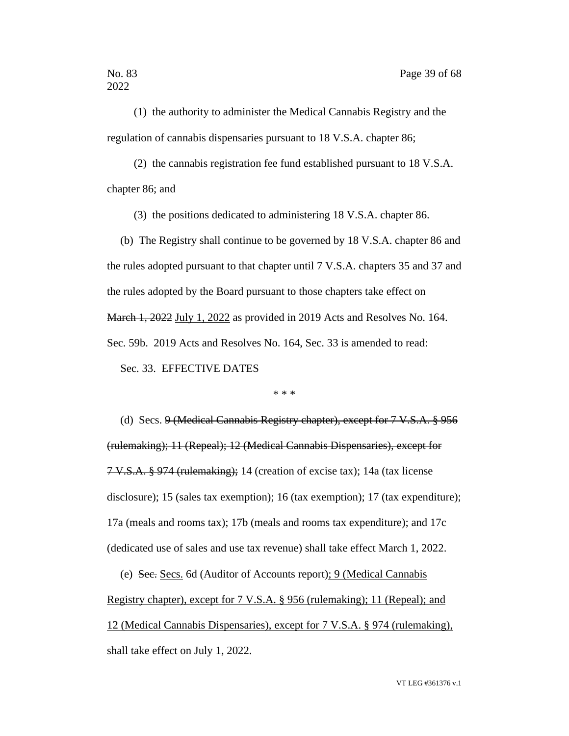(1) the authority to administer the Medical Cannabis Registry and the regulation of cannabis dispensaries pursuant to 18 V.S.A. chapter 86;

(2) the cannabis registration fee fund established pursuant to 18 V.S.A. chapter 86; and

(3) the positions dedicated to administering 18 V.S.A. chapter 86.

(b) The Registry shall continue to be governed by 18 V.S.A. chapter 86 and the rules adopted pursuant to that chapter until 7 V.S.A. chapters 35 and 37 and the rules adopted by the Board pursuant to those chapters take effect on March 1, 2022 July 1, 2022 as provided in 2019 Acts and Resolves No. 164. Sec. 59b. 2019 Acts and Resolves No. 164, Sec. 33 is amended to read: Sec. 33. EFFECTIVE DATES

\* \* \*

(d) Secs. 9 (Medical Cannabis Registry chapter), except for 7 V.S.A. § 956 (rulemaking); 11 (Repeal); 12 (Medical Cannabis Dispensaries), except for 7 V.S.A. § 974 (rulemaking); 14 (creation of excise tax); 14a (tax license disclosure); 15 (sales tax exemption); 16 (tax exemption); 17 (tax expenditure); 17a (meals and rooms tax); 17b (meals and rooms tax expenditure); and 17c (dedicated use of sales and use tax revenue) shall take effect March 1, 2022.

(e) Sec. Secs. 6d (Auditor of Accounts report); 9 (Medical Cannabis Registry chapter), except for 7 V.S.A. § 956 (rulemaking); 11 (Repeal); and 12 (Medical Cannabis Dispensaries), except for 7 V.S.A. § 974 (rulemaking), shall take effect on July 1, 2022.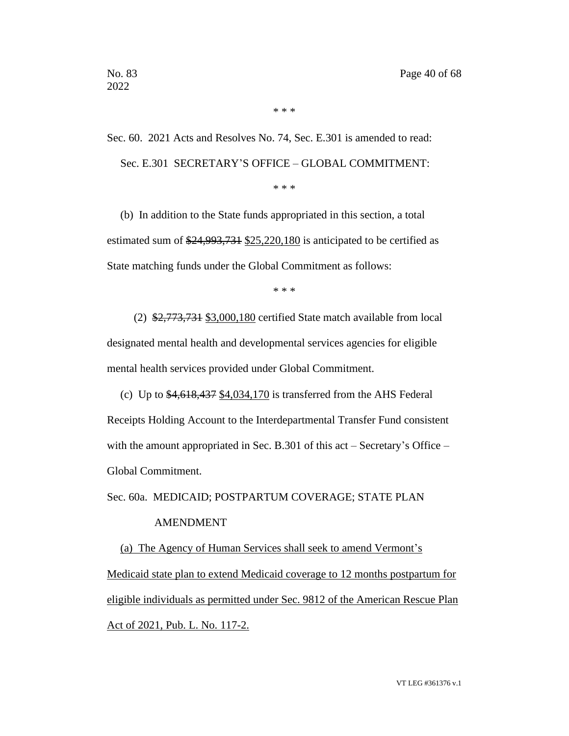Sec. 60. 2021 Acts and Resolves No. 74, Sec. E.301 is amended to read: Sec. E.301 SECRETARY'S OFFICE – GLOBAL COMMITMENT: \* \* \*

\* \* \*

(b) In addition to the State funds appropriated in this section, a total estimated sum of \$24,993,731 \$25,220,180 is anticipated to be certified as State matching funds under the Global Commitment as follows:

\* \* \*

(2) \$2,773,731 \$3,000,180 certified State match available from local designated mental health and developmental services agencies for eligible mental health services provided under Global Commitment.

(c) Up to  $$4,618,437$  \$4,034,170 is transferred from the AHS Federal Receipts Holding Account to the Interdepartmental Transfer Fund consistent with the amount appropriated in Sec. B.301 of this act – Secretary's Office – Global Commitment.

Sec. 60a. MEDICAID; POSTPARTUM COVERAGE; STATE PLAN

### AMENDMENT

(a) The Agency of Human Services shall seek to amend Vermont's Medicaid state plan to extend Medicaid coverage to 12 months postpartum for eligible individuals as permitted under Sec. 9812 of the American Rescue Plan Act of 2021, Pub. L. No. 117-2.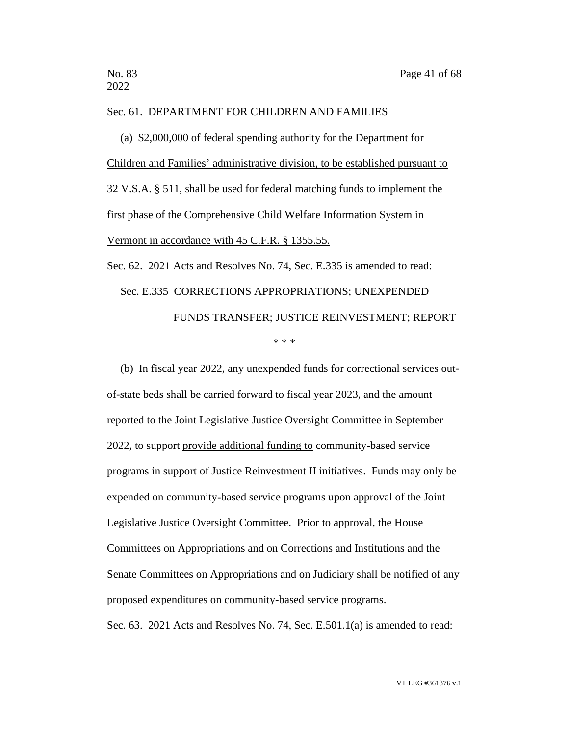#### Sec. 61. DEPARTMENT FOR CHILDREN AND FAMILIES

(a) \$2,000,000 of federal spending authority for the Department for Children and Families' administrative division, to be established pursuant to 32 V.S.A. § 511, shall be used for federal matching funds to implement the first phase of the Comprehensive Child Welfare Information System in Vermont in accordance with 45 C.F.R. § 1355.55.

Sec. 62. 2021 Acts and Resolves No. 74, Sec. E.335 is amended to read: Sec. E.335 CORRECTIONS APPROPRIATIONS; UNEXPENDED FUNDS TRANSFER; JUSTICE REINVESTMENT; REPORT \* \* \*

(b) In fiscal year 2022, any unexpended funds for correctional services outof-state beds shall be carried forward to fiscal year 2023, and the amount reported to the Joint Legislative Justice Oversight Committee in September 2022, to support provide additional funding to community-based service programs in support of Justice Reinvestment II initiatives. Funds may only be expended on community-based service programs upon approval of the Joint Legislative Justice Oversight Committee. Prior to approval, the House Committees on Appropriations and on Corrections and Institutions and the Senate Committees on Appropriations and on Judiciary shall be notified of any proposed expenditures on community-based service programs. Sec. 63. 2021 Acts and Resolves No. 74, Sec. E.501.1(a) is amended to read: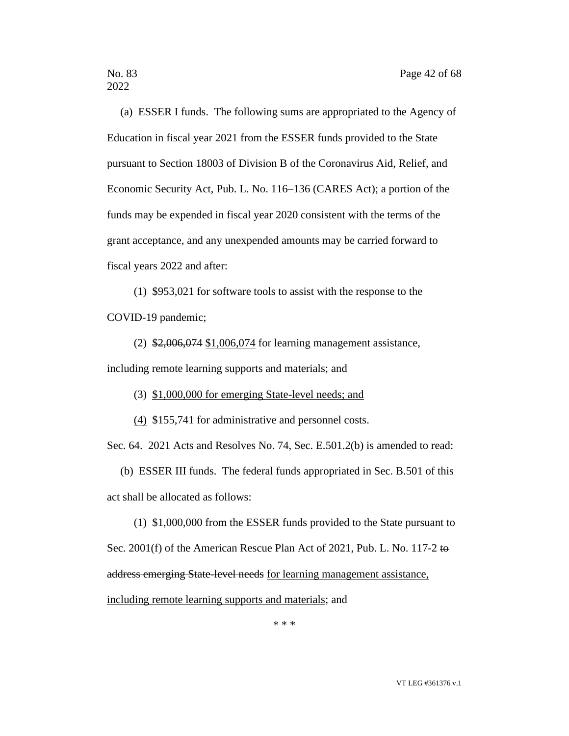(a) ESSER I funds. The following sums are appropriated to the Agency of Education in fiscal year 2021 from the ESSER funds provided to the State pursuant to Section 18003 of Division B of the Coronavirus Aid, Relief, and Economic Security Act, Pub. L. No. 116–136 (CARES Act); a portion of the funds may be expended in fiscal year 2020 consistent with the terms of the grant acceptance, and any unexpended amounts may be carried forward to fiscal years 2022 and after:

(1) \$953,021 for software tools to assist with the response to the COVID-19 pandemic;

(2) \$2,006,074 \$1,006,074 for learning management assistance, including remote learning supports and materials; and

(3) \$1,000,000 for emerging State-level needs; and

(4) \$155,741 for administrative and personnel costs.

Sec. 64. 2021 Acts and Resolves No. 74, Sec. E.501.2(b) is amended to read:

(b) ESSER III funds. The federal funds appropriated in Sec. B.501 of this act shall be allocated as follows:

(1) \$1,000,000 from the ESSER funds provided to the State pursuant to Sec. 2001(f) of the American Rescue Plan Act of 2021, Pub. L. No. 117-2 to address emerging State-level needs for learning management assistance, including remote learning supports and materials; and

\* \* \*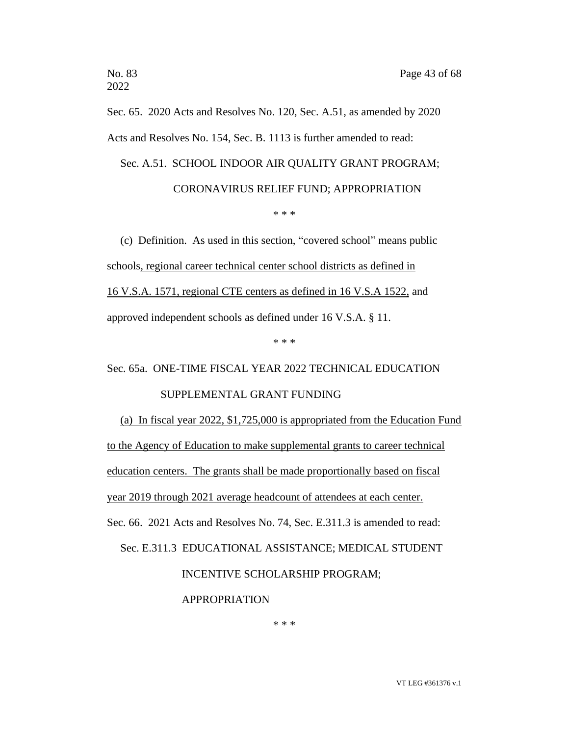Sec. 65. 2020 Acts and Resolves No. 120, Sec. A.51, as amended by 2020 Acts and Resolves No. 154, Sec. B. 1113 is further amended to read:

Sec. A.51. SCHOOL INDOOR AIR QUALITY GRANT PROGRAM;

# CORONAVIRUS RELIEF FUND; APPROPRIATION

\* \* \*

(c) Definition. As used in this section, "covered school" means public schools, regional career technical center school districts as defined in 16 V.S.A. 1571, regional CTE centers as defined in 16 V.S.A 1522, and approved independent schools as defined under 16 V.S.A. § 11.

\* \* \*

Sec. 65a. ONE-TIME FISCAL YEAR 2022 TECHNICAL EDUCATION

### SUPPLEMENTAL GRANT FUNDING

(a) In fiscal year 2022, \$1,725,000 is appropriated from the Education Fund to the Agency of Education to make supplemental grants to career technical education centers. The grants shall be made proportionally based on fiscal year 2019 through 2021 average headcount of attendees at each center. Sec. 66. 2021 Acts and Resolves No. 74, Sec. E.311.3 is amended to read:

Sec. E.311.3 EDUCATIONAL ASSISTANCE; MEDICAL STUDENT

INCENTIVE SCHOLARSHIP PROGRAM;

APPROPRIATION

\* \* \*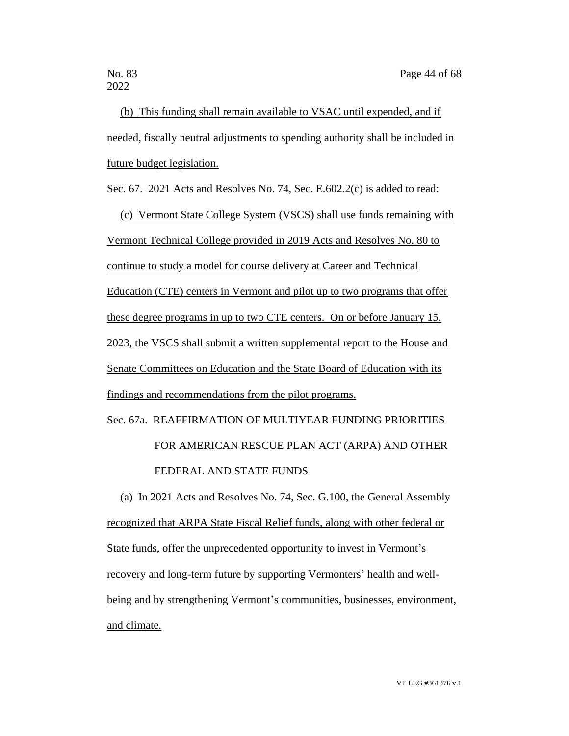(b) This funding shall remain available to VSAC until expended, and if needed, fiscally neutral adjustments to spending authority shall be included in future budget legislation.

Sec. 67. 2021 Acts and Resolves No. 74, Sec. E.602.2(c) is added to read:

(c) Vermont State College System (VSCS) shall use funds remaining with Vermont Technical College provided in 2019 Acts and Resolves No. 80 to continue to study a model for course delivery at Career and Technical Education (CTE) centers in Vermont and pilot up to two programs that offer these degree programs in up to two CTE centers. On or before January 15, 2023, the VSCS shall submit a written supplemental report to the House and Senate Committees on Education and the State Board of Education with its findings and recommendations from the pilot programs.

# Sec. 67a. REAFFIRMATION OF MULTIYEAR FUNDING PRIORITIES FOR AMERICAN RESCUE PLAN ACT (ARPA) AND OTHER FEDERAL AND STATE FUNDS

(a) In 2021 Acts and Resolves No. 74, Sec. G.100, the General Assembly recognized that ARPA State Fiscal Relief funds, along with other federal or State funds, offer the unprecedented opportunity to invest in Vermont's recovery and long-term future by supporting Vermonters' health and wellbeing and by strengthening Vermont's communities, businesses, environment, and climate.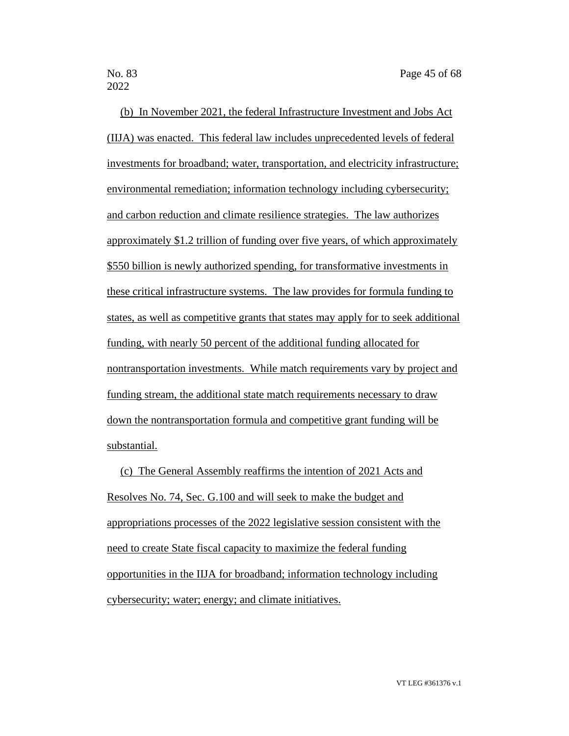2022

(b) In November 2021, the federal Infrastructure Investment and Jobs Act (IIJA) was enacted. This federal law includes unprecedented levels of federal investments for broadband; water, transportation, and electricity infrastructure; environmental remediation; information technology including cybersecurity; and carbon reduction and climate resilience strategies. The law authorizes approximately \$1.2 trillion of funding over five years, of which approximately \$550 billion is newly authorized spending, for transformative investments in these critical infrastructure systems. The law provides for formula funding to states, as well as competitive grants that states may apply for to seek additional funding, with nearly 50 percent of the additional funding allocated for nontransportation investments. While match requirements vary by project and funding stream, the additional state match requirements necessary to draw down the nontransportation formula and competitive grant funding will be substantial.

(c) The General Assembly reaffirms the intention of 2021 Acts and Resolves No. 74, Sec. G.100 and will seek to make the budget and appropriations processes of the 2022 legislative session consistent with the need to create State fiscal capacity to maximize the federal funding opportunities in the IIJA for broadband; information technology including cybersecurity; water; energy; and climate initiatives.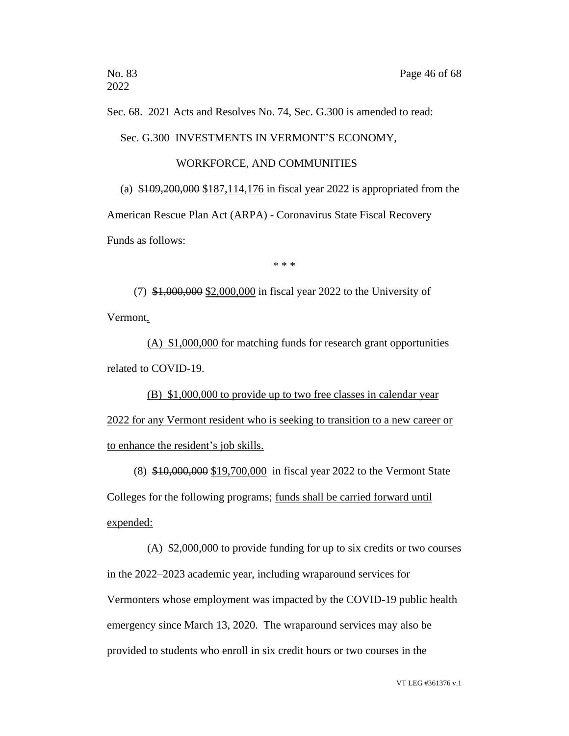Sec. 68. 2021 Acts and Resolves No. 74, Sec. G.300 is amended to read:

Sec. G.300 INVESTMENTS IN VERMONT'S ECONOMY,

### WORKFORCE, AND COMMUNITIES

(a) \$109,200,000 \$187,114,176 in fiscal year 2022 is appropriated from the American Rescue Plan Act (ARPA) - Coronavirus State Fiscal Recovery Funds as follows:

\* \* \*

(7) \$1,000,000 \$2,000,000 in fiscal year 2022 to the University of Vermont.

(A) \$1,000,000 for matching funds for research grant opportunities related to COVID-19.

(B) \$1,000,000 to provide up to two free classes in calendar year 2022 for any Vermont resident who is seeking to transition to a new career or to enhance the resident's job skills.

(8) \$10,000,000 \$19,700,000 in fiscal year 2022 to the Vermont State Colleges for the following programs; funds shall be carried forward until expended:

(A) \$2,000,000 to provide funding for up to six credits or two courses in the 2022–2023 academic year, including wraparound services for Vermonters whose employment was impacted by the COVID-19 public health emergency since March 13, 2020. The wraparound services may also be provided to students who enroll in six credit hours or two courses in the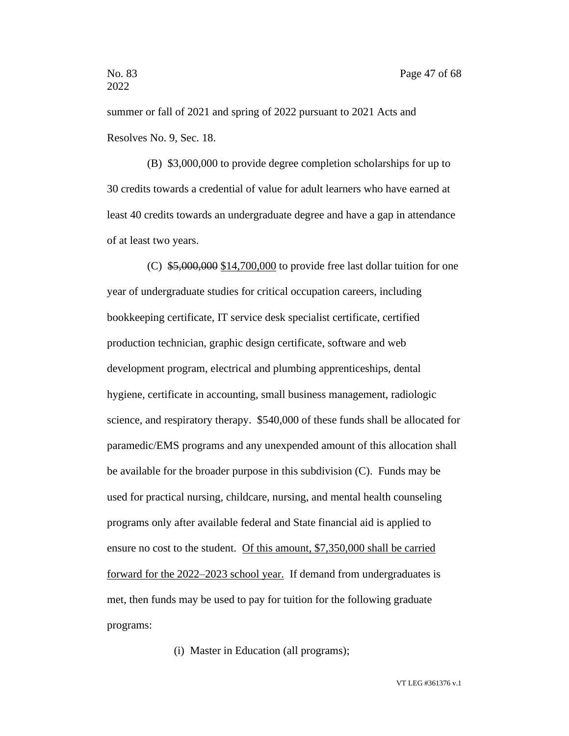summer or fall of 2021 and spring of 2022 pursuant to 2021 Acts and Resolves No. 9, Sec. 18.

(B) \$3,000,000 to provide degree completion scholarships for up to 30 credits towards a credential of value for adult learners who have earned at least 40 credits towards an undergraduate degree and have a gap in attendance of at least two years.

(C) \$5,000,000 \$14,700,000 to provide free last dollar tuition for one year of undergraduate studies for critical occupation careers, including bookkeeping certificate, IT service desk specialist certificate, certified production technician, graphic design certificate, software and web development program, electrical and plumbing apprenticeships, dental hygiene, certificate in accounting, small business management, radiologic science, and respiratory therapy. \$540,000 of these funds shall be allocated for paramedic/EMS programs and any unexpended amount of this allocation shall be available for the broader purpose in this subdivision (C). Funds may be used for practical nursing, childcare, nursing, and mental health counseling programs only after available federal and State financial aid is applied to ensure no cost to the student. Of this amount, \$7,350,000 shall be carried forward for the 2022–2023 school year. If demand from undergraduates is met, then funds may be used to pay for tuition for the following graduate programs:

(i) Master in Education (all programs);

VT LEG #361376 v.1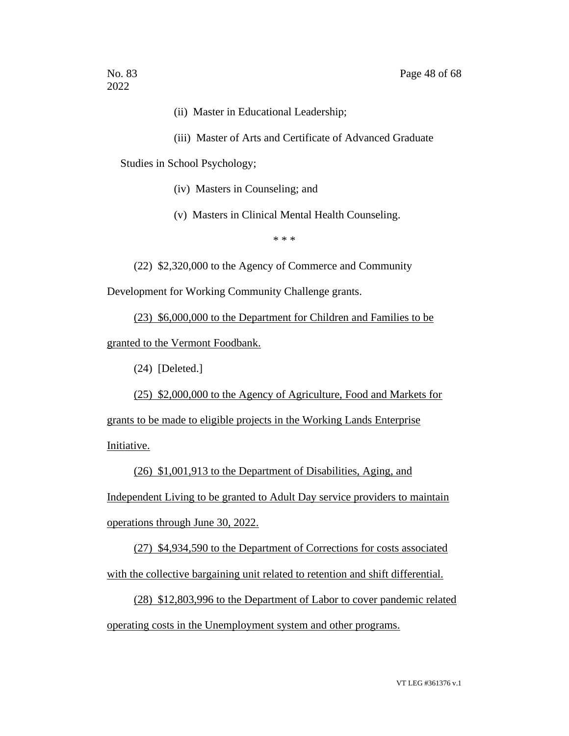- (ii) Master in Educational Leadership;
- (iii) Master of Arts and Certificate of Advanced Graduate

Studies in School Psychology;

- (iv) Masters in Counseling; and
- (v) Masters in Clinical Mental Health Counseling.

\* \* \*

(22) \$2,320,000 to the Agency of Commerce and Community

Development for Working Community Challenge grants.

(23) \$6,000,000 to the Department for Children and Families to be granted to the Vermont Foodbank.

(24) [Deleted.]

(25) \$2,000,000 to the Agency of Agriculture, Food and Markets for

grants to be made to eligible projects in the Working Lands Enterprise Initiative.

(26) \$1,001,913 to the Department of Disabilities, Aging, and Independent Living to be granted to Adult Day service providers to maintain operations through June 30, 2022.

(27) \$4,934,590 to the Department of Corrections for costs associated with the collective bargaining unit related to retention and shift differential.

(28) \$12,803,996 to the Department of Labor to cover pandemic related operating costs in the Unemployment system and other programs.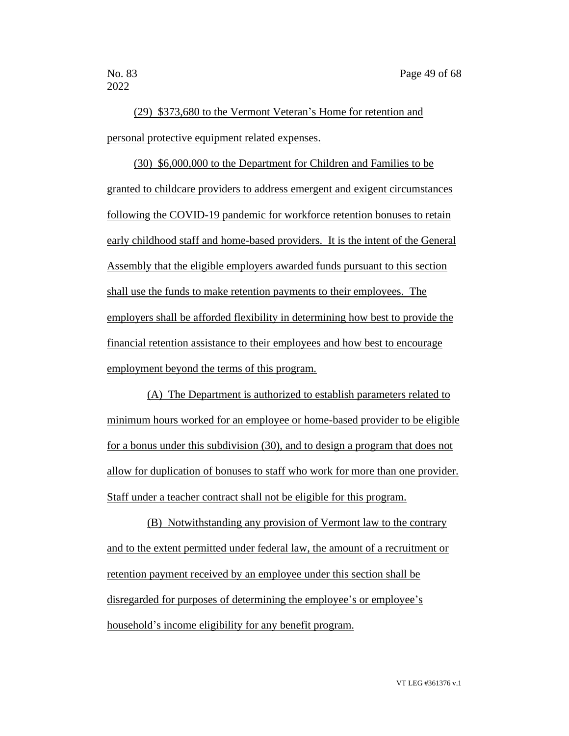2022

(29) \$373,680 to the Vermont Veteran's Home for retention and personal protective equipment related expenses.

(30) \$6,000,000 to the Department for Children and Families to be granted to childcare providers to address emergent and exigent circumstances following the COVID-19 pandemic for workforce retention bonuses to retain early childhood staff and home-based providers. It is the intent of the General Assembly that the eligible employers awarded funds pursuant to this section shall use the funds to make retention payments to their employees. The employers shall be afforded flexibility in determining how best to provide the financial retention assistance to their employees and how best to encourage employment beyond the terms of this program.

(A) The Department is authorized to establish parameters related to minimum hours worked for an employee or home-based provider to be eligible for a bonus under this subdivision (30), and to design a program that does not allow for duplication of bonuses to staff who work for more than one provider. Staff under a teacher contract shall not be eligible for this program.

(B) Notwithstanding any provision of Vermont law to the contrary and to the extent permitted under federal law, the amount of a recruitment or retention payment received by an employee under this section shall be disregarded for purposes of determining the employee's or employee's household's income eligibility for any benefit program.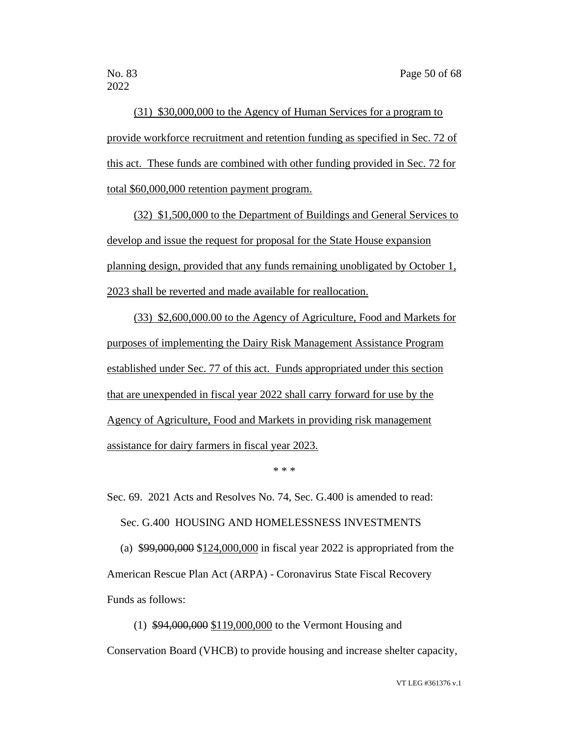2022

(31) \$30,000,000 to the Agency of Human Services for a program to provide workforce recruitment and retention funding as specified in Sec. 72 of this act. These funds are combined with other funding provided in Sec. 72 for total \$60,000,000 retention payment program.

(32) \$1,500,000 to the Department of Buildings and General Services to develop and issue the request for proposal for the State House expansion planning design, provided that any funds remaining unobligated by October 1, 2023 shall be reverted and made available for reallocation.

(33) \$2,600,000.00 to the Agency of Agriculture, Food and Markets for purposes of implementing the Dairy Risk Management Assistance Program established under Sec. 77 of this act. Funds appropriated under this section that are unexpended in fiscal year 2022 shall carry forward for use by the Agency of Agriculture, Food and Markets in providing risk management assistance for dairy farmers in fiscal year 2023.

\* \* \*

Sec. 69. 2021 Acts and Resolves No. 74, Sec. G.400 is amended to read: Sec. G.400 HOUSING AND HOMELESSNESS INVESTMENTS (a) \$99,000,000 \$124,000,000 in fiscal year 2022 is appropriated from the

American Rescue Plan Act (ARPA) - Coronavirus State Fiscal Recovery Funds as follows:

(1) \$94,000,000 \$119,000,000 to the Vermont Housing and Conservation Board (VHCB) to provide housing and increase shelter capacity,

VT LEG #361376 v.1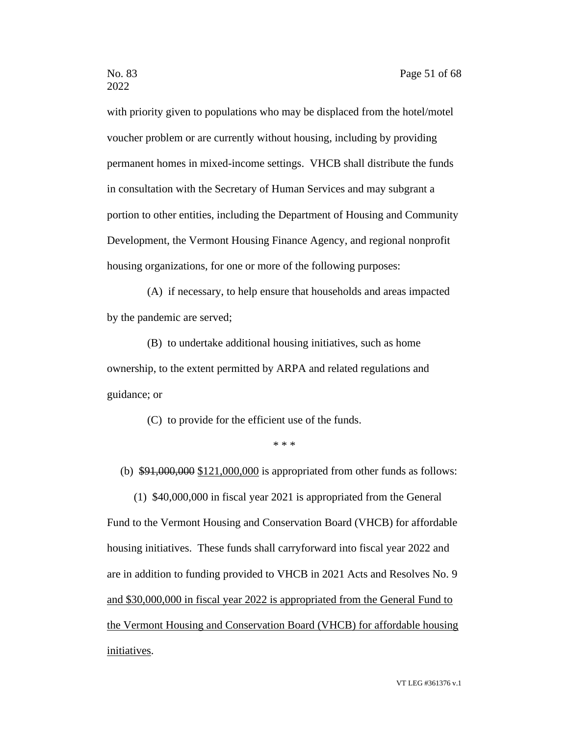with priority given to populations who may be displaced from the hotel/motel voucher problem or are currently without housing, including by providing permanent homes in mixed-income settings. VHCB shall distribute the funds in consultation with the Secretary of Human Services and may subgrant a portion to other entities, including the Department of Housing and Community Development, the Vermont Housing Finance Agency, and regional nonprofit housing organizations, for one or more of the following purposes:

(A) if necessary, to help ensure that households and areas impacted by the pandemic are served;

(B) to undertake additional housing initiatives, such as home ownership, to the extent permitted by ARPA and related regulations and guidance; or

(C) to provide for the efficient use of the funds.

\* \* \*

(b)  $$91,000,000$  \$121,000,000 is appropriated from other funds as follows:

(1) \$40,000,000 in fiscal year 2021 is appropriated from the General Fund to the Vermont Housing and Conservation Board (VHCB) for affordable housing initiatives. These funds shall carryforward into fiscal year 2022 and are in addition to funding provided to VHCB in 2021 Acts and Resolves No. 9 and \$30,000,000 in fiscal year 2022 is appropriated from the General Fund to the Vermont Housing and Conservation Board (VHCB) for affordable housing initiatives.

VT LEG #361376 v.1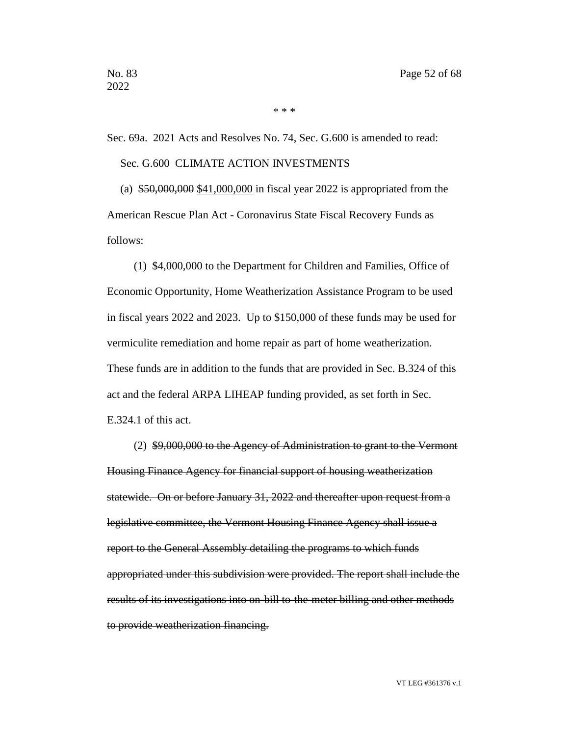\* \* \*

Sec. 69a. 2021 Acts and Resolves No. 74, Sec. G.600 is amended to read: Sec. G.600 CLIMATE ACTION INVESTMENTS

(a)  $$50,000,000$  \$41,000,000 in fiscal year 2022 is appropriated from the American Rescue Plan Act - Coronavirus State Fiscal Recovery Funds as follows:

(1) \$4,000,000 to the Department for Children and Families, Office of Economic Opportunity, Home Weatherization Assistance Program to be used in fiscal years 2022 and 2023. Up to \$150,000 of these funds may be used for vermiculite remediation and home repair as part of home weatherization. These funds are in addition to the funds that are provided in Sec. B.324 of this act and the federal ARPA LIHEAP funding provided, as set forth in Sec. E.324.1 of this act.

(2) \$9,000,000 to the Agency of Administration to grant to the Vermont Housing Finance Agency for financial support of housing weatherization statewide. On or before January 31, 2022 and thereafter upon request from a legislative committee, the Vermont Housing Finance Agency shall issue a report to the General Assembly detailing the programs to which funds appropriated under this subdivision were provided. The report shall include the results of its investigations into on-bill to-the-meter billing and other methods to provide weatherization financing.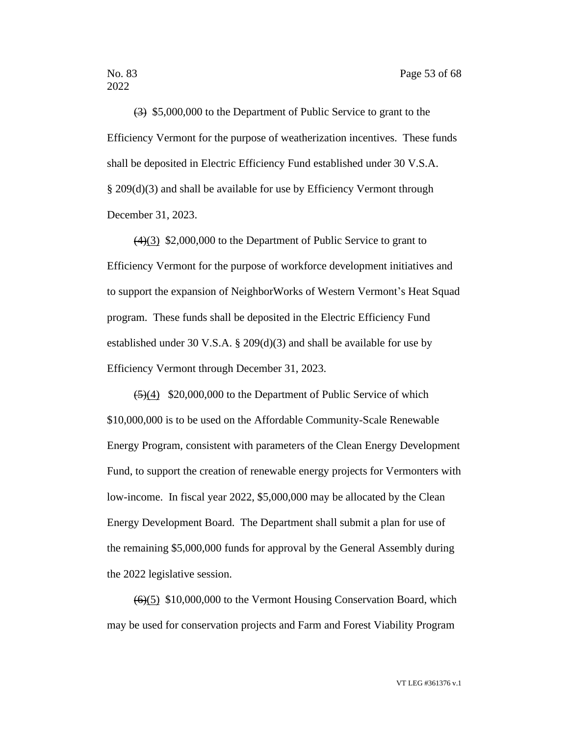(3) \$5,000,000 to the Department of Public Service to grant to the Efficiency Vermont for the purpose of weatherization incentives. These funds shall be deposited in Electric Efficiency Fund established under 30 V.S.A. § 209(d)(3) and shall be available for use by Efficiency Vermont through December 31, 2023.

(4)(3) \$2,000,000 to the Department of Public Service to grant to Efficiency Vermont for the purpose of workforce development initiatives and to support the expansion of NeighborWorks of Western Vermont's Heat Squad program. These funds shall be deposited in the Electric Efficiency Fund established under 30 V.S.A. § 209(d)(3) and shall be available for use by Efficiency Vermont through December 31, 2023.

 $(5)(4)$  \$20,000,000 to the Department of Public Service of which \$10,000,000 is to be used on the Affordable Community-Scale Renewable Energy Program, consistent with parameters of the Clean Energy Development Fund, to support the creation of renewable energy projects for Vermonters with low-income. In fiscal year 2022, \$5,000,000 may be allocated by the Clean Energy Development Board. The Department shall submit a plan for use of the remaining \$5,000,000 funds for approval by the General Assembly during the 2022 legislative session.

 $(6)(5)$  \$10,000,000 to the Vermont Housing Conservation Board, which may be used for conservation projects and Farm and Forest Viability Program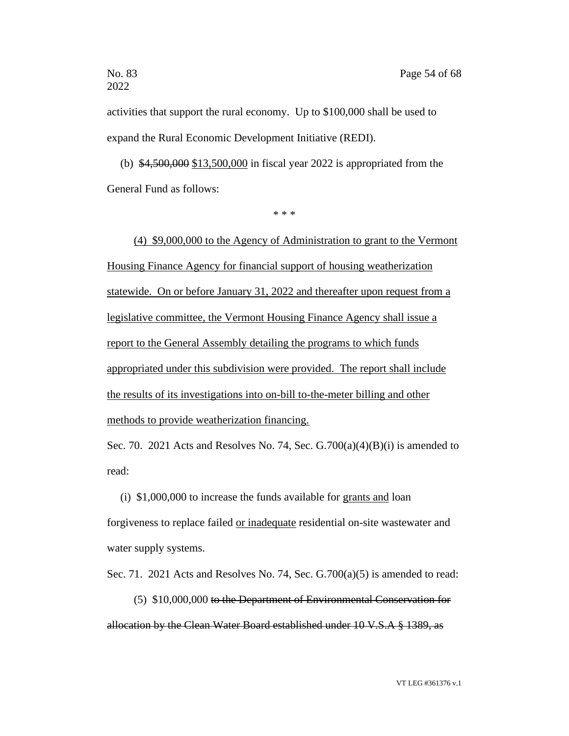activities that support the rural economy. Up to \$100,000 shall be used to expand the Rural Economic Development Initiative (REDI).

(b) \$4,500,000 \$13,500,000 in fiscal year 2022 is appropriated from the General Fund as follows:

\* \* \*

(4) \$9,000,000 to the Agency of Administration to grant to the Vermont Housing Finance Agency for financial support of housing weatherization statewide. On or before January 31, 2022 and thereafter upon request from a legislative committee, the Vermont Housing Finance Agency shall issue a report to the General Assembly detailing the programs to which funds appropriated under this subdivision were provided. The report shall include the results of its investigations into on-bill to-the-meter billing and other methods to provide weatherization financing.

Sec. 70. 2021 Acts and Resolves No. 74, Sec. G.700(a)(4)(B)(i) is amended to read:

(i) \$1,000,000 to increase the funds available for grants and loan forgiveness to replace failed or inadequate residential on-site wastewater and water supply systems.

Sec. 71. 2021 Acts and Resolves No. 74, Sec.  $G.700(a)(5)$  is amended to read:

(5) \$10,000,000 to the Department of Environmental Conservation for allocation by the Clean Water Board established under 10 V.S.A § 1389, as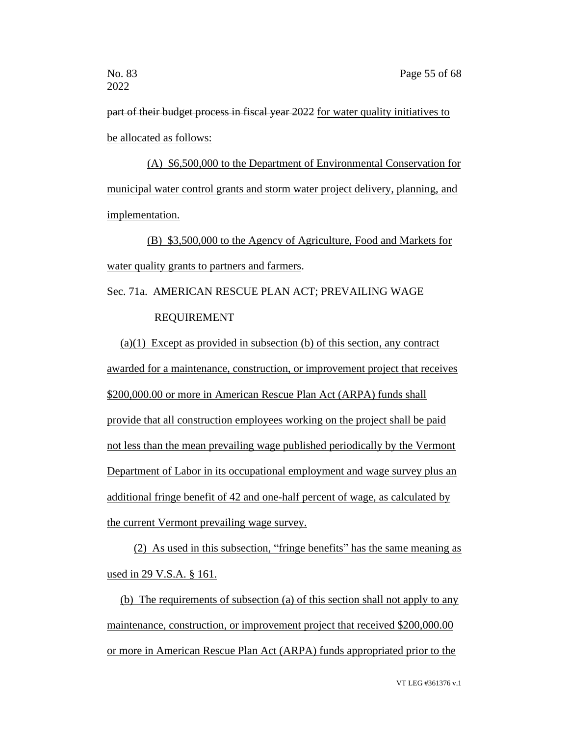part of their budget process in fiscal year 2022 for water quality initiatives to be allocated as follows:

(A) \$6,500,000 to the Department of Environmental Conservation for municipal water control grants and storm water project delivery, planning, and implementation.

(B) \$3,500,000 to the Agency of Agriculture, Food and Markets for water quality grants to partners and farmers.

# Sec. 71a. AMERICAN RESCUE PLAN ACT; PREVAILING WAGE REQUIREMENT

(a)(1) Except as provided in subsection (b) of this section, any contract awarded for a maintenance, construction, or improvement project that receives \$200,000.00 or more in American Rescue Plan Act (ARPA) funds shall provide that all construction employees working on the project shall be paid not less than the mean prevailing wage published periodically by the Vermont Department of Labor in its occupational employment and wage survey plus an additional fringe benefit of 42 and one-half percent of wage, as calculated by the current Vermont prevailing wage survey.

(2) As used in this subsection, "fringe benefits" has the same meaning as used in 29 V.S.A. § 161.

(b) The requirements of subsection (a) of this section shall not apply to any maintenance, construction, or improvement project that received \$200,000.00 or more in American Rescue Plan Act (ARPA) funds appropriated prior to the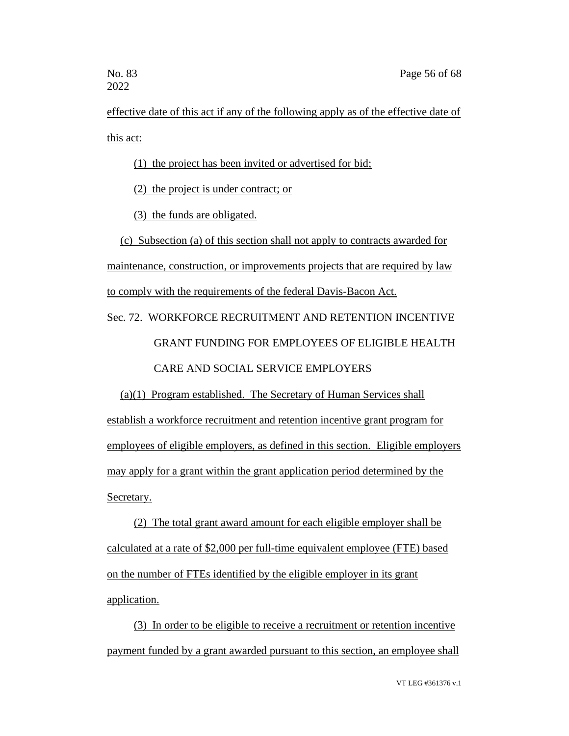effective date of this act if any of the following apply as of the effective date of this act:

(1) the project has been invited or advertised for bid;

(2) the project is under contract; or

(3) the funds are obligated.

(c) Subsection (a) of this section shall not apply to contracts awarded for maintenance, construction, or improvements projects that are required by law to comply with the requirements of the federal Davis-Bacon Act.

# Sec. 72. WORKFORCE RECRUITMENT AND RETENTION INCENTIVE GRANT FUNDING FOR EMPLOYEES OF ELIGIBLE HEALTH CARE AND SOCIAL SERVICE EMPLOYERS

(a)(1) Program established. The Secretary of Human Services shall establish a workforce recruitment and retention incentive grant program for employees of eligible employers, as defined in this section. Eligible employers may apply for a grant within the grant application period determined by the Secretary.

(2) The total grant award amount for each eligible employer shall be calculated at a rate of \$2,000 per full-time equivalent employee (FTE) based on the number of FTEs identified by the eligible employer in its grant application.

(3) In order to be eligible to receive a recruitment or retention incentive payment funded by a grant awarded pursuant to this section, an employee shall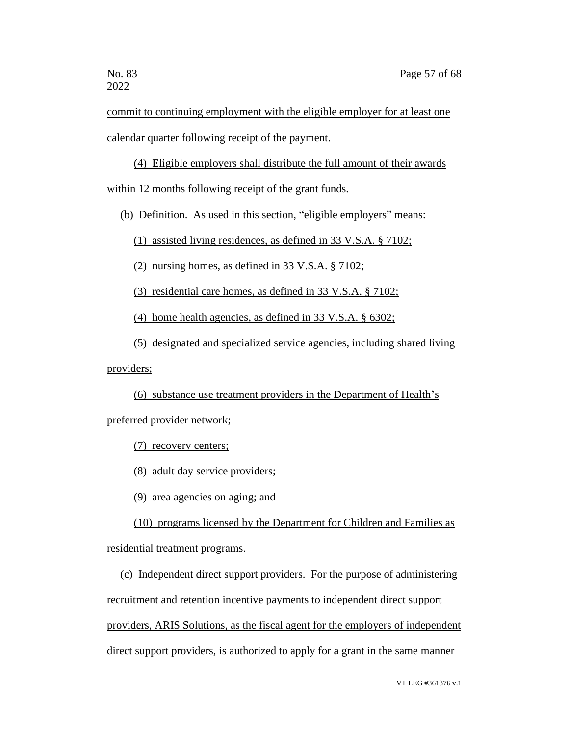commit to continuing employment with the eligible employer for at least one calendar quarter following receipt of the payment.

(4) Eligible employers shall distribute the full amount of their awards

within 12 months following receipt of the grant funds.

(b) Definition. As used in this section, "eligible employers" means:

(1) assisted living residences, as defined in 33 V.S.A. § 7102;

(2) nursing homes, as defined in 33 V.S.A. § 7102;

(3) residential care homes, as defined in 33 V.S.A. § 7102;

(4) home health agencies, as defined in 33 V.S.A. § 6302;

(5) designated and specialized service agencies, including shared living

providers;

(6) substance use treatment providers in the Department of Health's

preferred provider network;

(7) recovery centers;

(8) adult day service providers;

(9) area agencies on aging; and

(10) programs licensed by the Department for Children and Families as residential treatment programs.

(c) Independent direct support providers. For the purpose of administering recruitment and retention incentive payments to independent direct support providers, ARIS Solutions, as the fiscal agent for the employers of independent direct support providers, is authorized to apply for a grant in the same manner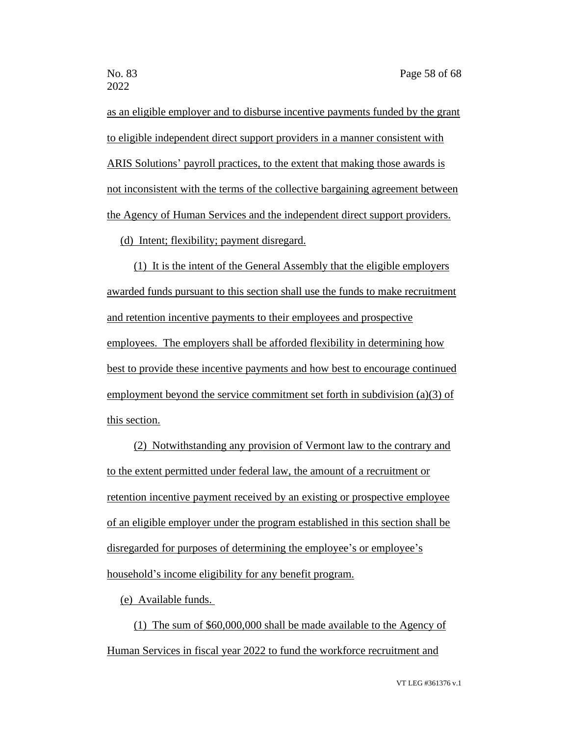as an eligible employer and to disburse incentive payments funded by the grant to eligible independent direct support providers in a manner consistent with ARIS Solutions' payroll practices, to the extent that making those awards is not inconsistent with the terms of the collective bargaining agreement between the Agency of Human Services and the independent direct support providers.

(d) Intent; flexibility; payment disregard.

(1) It is the intent of the General Assembly that the eligible employers awarded funds pursuant to this section shall use the funds to make recruitment and retention incentive payments to their employees and prospective employees. The employers shall be afforded flexibility in determining how best to provide these incentive payments and how best to encourage continued employment beyond the service commitment set forth in subdivision (a)(3) of this section.

(2) Notwithstanding any provision of Vermont law to the contrary and to the extent permitted under federal law, the amount of a recruitment or retention incentive payment received by an existing or prospective employee of an eligible employer under the program established in this section shall be disregarded for purposes of determining the employee's or employee's household's income eligibility for any benefit program.

(e) Available funds.

(1) The sum of \$60,000,000 shall be made available to the Agency of Human Services in fiscal year 2022 to fund the workforce recruitment and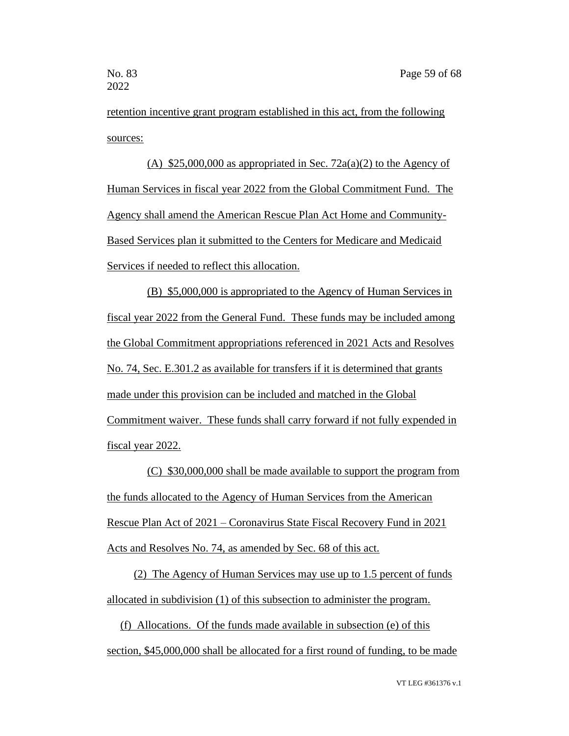retention incentive grant program established in this act, from the following sources:

(A)  $$25,000,000$  as appropriated in Sec. 72a(a)(2) to the Agency of Human Services in fiscal year 2022 from the Global Commitment Fund. The Agency shall amend the American Rescue Plan Act Home and Community-Based Services plan it submitted to the Centers for Medicare and Medicaid Services if needed to reflect this allocation.

(B) \$5,000,000 is appropriated to the Agency of Human Services in fiscal year 2022 from the General Fund. These funds may be included among the Global Commitment appropriations referenced in 2021 Acts and Resolves No. 74, Sec. E.301.2 as available for transfers if it is determined that grants made under this provision can be included and matched in the Global Commitment waiver. These funds shall carry forward if not fully expended in fiscal year 2022.

(C) \$30,000,000 shall be made available to support the program from the funds allocated to the Agency of Human Services from the American Rescue Plan Act of 2021 – Coronavirus State Fiscal Recovery Fund in 2021 Acts and Resolves No. 74, as amended by Sec. 68 of this act.

(2) The Agency of Human Services may use up to 1.5 percent of funds allocated in subdivision (1) of this subsection to administer the program.

(f) Allocations. Of the funds made available in subsection (e) of this section, \$45,000,000 shall be allocated for a first round of funding, to be made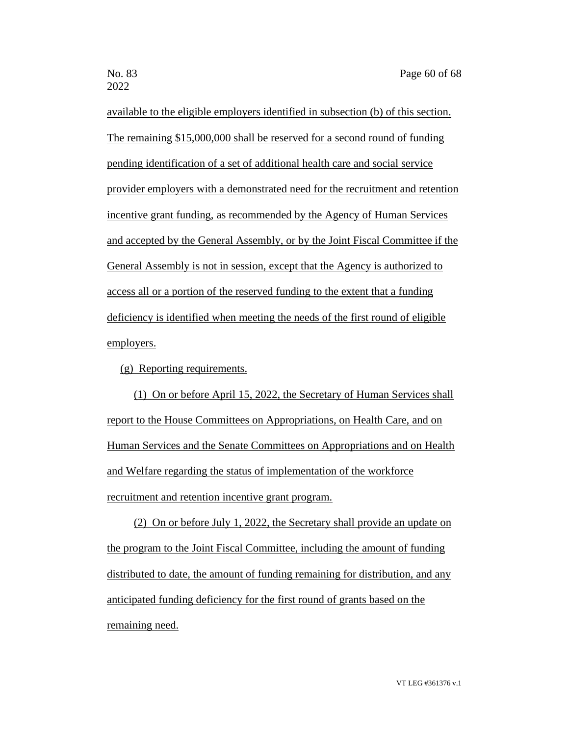available to the eligible employers identified in subsection (b) of this section. The remaining \$15,000,000 shall be reserved for a second round of funding pending identification of a set of additional health care and social service provider employers with a demonstrated need for the recruitment and retention incentive grant funding, as recommended by the Agency of Human Services and accepted by the General Assembly, or by the Joint Fiscal Committee if the General Assembly is not in session, except that the Agency is authorized to access all or a portion of the reserved funding to the extent that a funding deficiency is identified when meeting the needs of the first round of eligible employers.

(g) Reporting requirements.

(1) On or before April 15, 2022, the Secretary of Human Services shall report to the House Committees on Appropriations, on Health Care, and on Human Services and the Senate Committees on Appropriations and on Health and Welfare regarding the status of implementation of the workforce recruitment and retention incentive grant program.

(2) On or before July 1, 2022, the Secretary shall provide an update on the program to the Joint Fiscal Committee, including the amount of funding distributed to date, the amount of funding remaining for distribution, and any anticipated funding deficiency for the first round of grants based on the remaining need.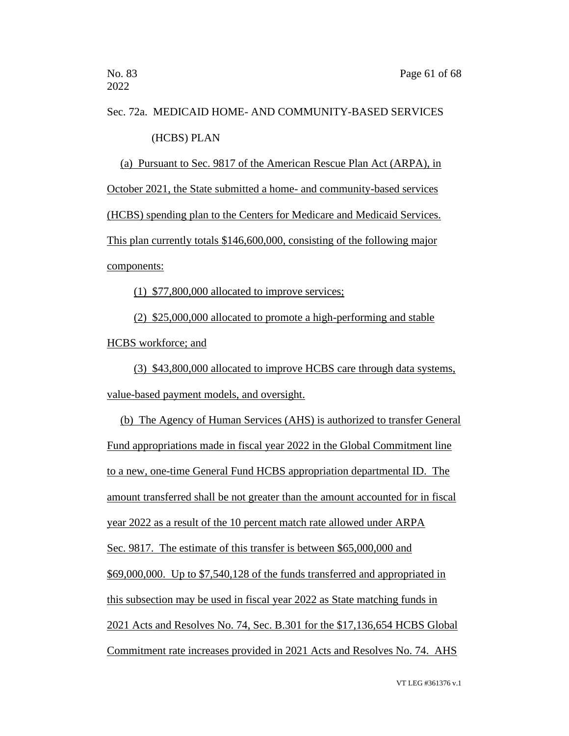# Sec. 72a. MEDICAID HOME- AND COMMUNITY-BASED SERVICES (HCBS) PLAN

(a) Pursuant to Sec. 9817 of the American Rescue Plan Act (ARPA), in October 2021, the State submitted a home- and community-based services (HCBS) spending plan to the Centers for Medicare and Medicaid Services. This plan currently totals \$146,600,000, consisting of the following major components:

(1) \$77,800,000 allocated to improve services;

(2) \$25,000,000 allocated to promote a high-performing and stable HCBS workforce; and

(3) \$43,800,000 allocated to improve HCBS care through data systems, value-based payment models, and oversight.

(b) The Agency of Human Services (AHS) is authorized to transfer General Fund appropriations made in fiscal year 2022 in the Global Commitment line to a new, one-time General Fund HCBS appropriation departmental ID. The amount transferred shall be not greater than the amount accounted for in fiscal year 2022 as a result of the 10 percent match rate allowed under ARPA Sec. 9817. The estimate of this transfer is between \$65,000,000 and \$69,000,000. Up to \$7,540,128 of the funds transferred and appropriated in this subsection may be used in fiscal year 2022 as State matching funds in 2021 Acts and Resolves No. 74, Sec. B.301 for the \$17,136,654 HCBS Global Commitment rate increases provided in 2021 Acts and Resolves No. 74. AHS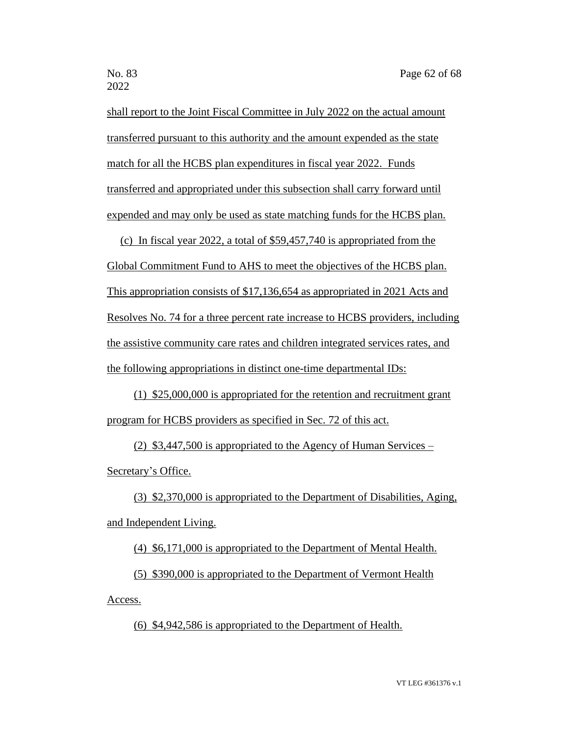shall report to the Joint Fiscal Committee in July 2022 on the actual amount transferred pursuant to this authority and the amount expended as the state match for all the HCBS plan expenditures in fiscal year 2022. Funds transferred and appropriated under this subsection shall carry forward until expended and may only be used as state matching funds for the HCBS plan.

(c) In fiscal year 2022, a total of \$59,457,740 is appropriated from the

Global Commitment Fund to AHS to meet the objectives of the HCBS plan. This appropriation consists of \$17,136,654 as appropriated in 2021 Acts and Resolves No. 74 for a three percent rate increase to HCBS providers, including the assistive community care rates and children integrated services rates, and the following appropriations in distinct one-time departmental IDs:

(1) \$25,000,000 is appropriated for the retention and recruitment grant program for HCBS providers as specified in Sec. 72 of this act.

(2) \$3,447,500 is appropriated to the Agency of Human Services – Secretary's Office.

(3) \$2,370,000 is appropriated to the Department of Disabilities, Aging, and Independent Living.

(4) \$6,171,000 is appropriated to the Department of Mental Health.

(5) \$390,000 is appropriated to the Department of Vermont Health Access.

(6) \$4,942,586 is appropriated to the Department of Health.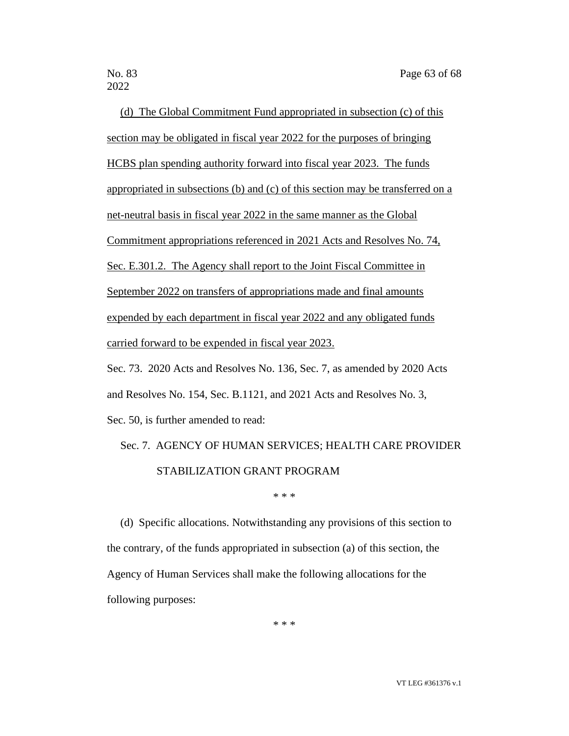2022

(d) The Global Commitment Fund appropriated in subsection (c) of this section may be obligated in fiscal year 2022 for the purposes of bringing HCBS plan spending authority forward into fiscal year 2023. The funds appropriated in subsections (b) and (c) of this section may be transferred on a net-neutral basis in fiscal year 2022 in the same manner as the Global Commitment appropriations referenced in 2021 Acts and Resolves No. 74, Sec. E.301.2. The Agency shall report to the Joint Fiscal Committee in September 2022 on transfers of appropriations made and final amounts expended by each department in fiscal year 2022 and any obligated funds carried forward to be expended in fiscal year 2023. Sec. 73. 2020 Acts and Resolves No. 136, Sec. 7, as amended by 2020 Acts

and Resolves No. 154, Sec. B.1121, and 2021 Acts and Resolves No. 3,

Sec. 50, is further amended to read:

# Sec. 7. AGENCY OF HUMAN SERVICES; HEALTH CARE PROVIDER STABILIZATION GRANT PROGRAM

\* \* \*

(d) Specific allocations. Notwithstanding any provisions of this section to the contrary, of the funds appropriated in subsection (a) of this section, the Agency of Human Services shall make the following allocations for the following purposes:

\* \* \*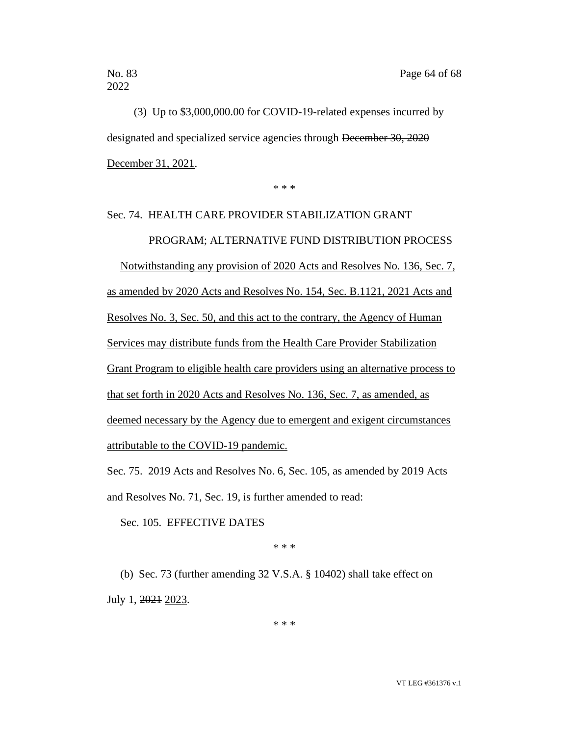(3) Up to \$3,000,000.00 for COVID-19-related expenses incurred by designated and specialized service agencies through December 30, 2020 December 31, 2021.

\* \* \*

# Sec. 74. HEALTH CARE PROVIDER STABILIZATION GRANT PROGRAM; ALTERNATIVE FUND DISTRIBUTION PROCESS

Notwithstanding any provision of 2020 Acts and Resolves No. 136, Sec. 7, as amended by 2020 Acts and Resolves No. 154, Sec. B.1121, 2021 Acts and Resolves No. 3, Sec. 50, and this act to the contrary, the Agency of Human Services may distribute funds from the Health Care Provider Stabilization Grant Program to eligible health care providers using an alternative process to that set forth in 2020 Acts and Resolves No. 136, Sec. 7, as amended, as deemed necessary by the Agency due to emergent and exigent circumstances attributable to the COVID-19 pandemic.

Sec. 75. 2019 Acts and Resolves No. 6, Sec. 105, as amended by 2019 Acts and Resolves No. 71, Sec. 19, is further amended to read:

Sec. 105. EFFECTIVE DATES

\* \* \*

(b) Sec. 73 (further amending 32 V.S.A. § 10402) shall take effect on July 1, 2021 2023.

\* \* \*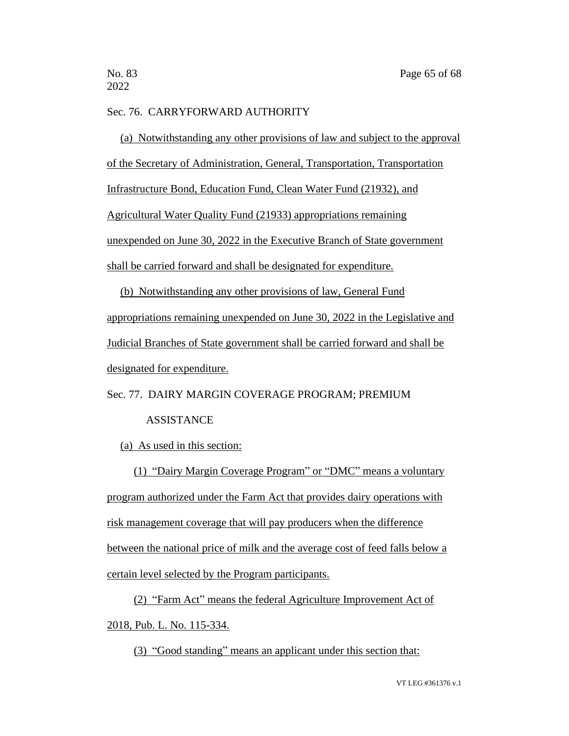## Sec. 76. CARRYFORWARD AUTHORITY

(a) Notwithstanding any other provisions of law and subject to the approval of the Secretary of Administration, General, Transportation, Transportation Infrastructure Bond, Education Fund, Clean Water Fund (21932), and Agricultural Water Quality Fund (21933) appropriations remaining unexpended on June 30, 2022 in the Executive Branch of State government shall be carried forward and shall be designated for expenditure.

(b) Notwithstanding any other provisions of law, General Fund appropriations remaining unexpended on June 30, 2022 in the Legislative and Judicial Branches of State government shall be carried forward and shall be designated for expenditure.

Sec. 77. DAIRY MARGIN COVERAGE PROGRAM; PREMIUM

### **ASSISTANCE**

#### (a) As used in this section:

(1) "Dairy Margin Coverage Program" or "DMC" means a voluntary program authorized under the Farm Act that provides dairy operations with risk management coverage that will pay producers when the difference between the national price of milk and the average cost of feed falls below a certain level selected by the Program participants.

(2) "Farm Act" means the federal Agriculture Improvement Act of 2018, Pub. L. No. 115-334.

(3) "Good standing" means an applicant under this section that: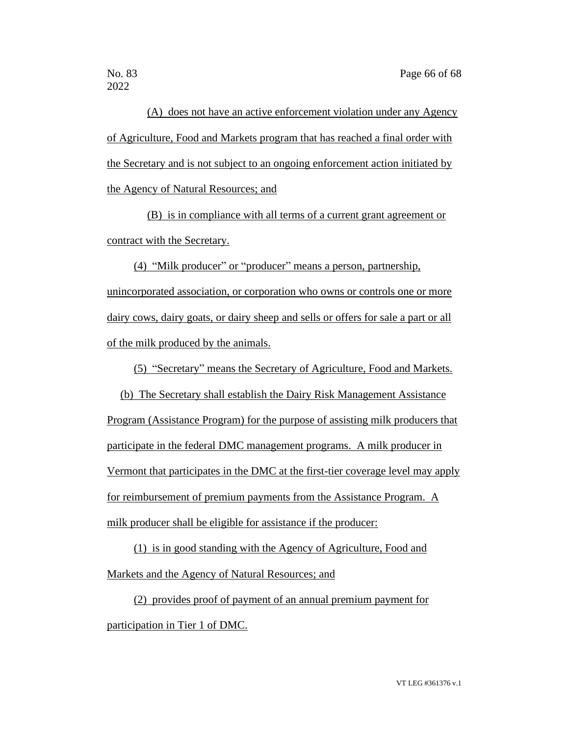2022

(A) does not have an active enforcement violation under any Agency of Agriculture, Food and Markets program that has reached a final order with the Secretary and is not subject to an ongoing enforcement action initiated by the Agency of Natural Resources; and

(B) is in compliance with all terms of a current grant agreement or contract with the Secretary.

(4) "Milk producer" or "producer" means a person, partnership, unincorporated association, or corporation who owns or controls one or more dairy cows, dairy goats, or dairy sheep and sells or offers for sale a part or all of the milk produced by the animals.

(5) "Secretary" means the Secretary of Agriculture, Food and Markets.

(b) The Secretary shall establish the Dairy Risk Management Assistance

Program (Assistance Program) for the purpose of assisting milk producers that participate in the federal DMC management programs. A milk producer in Vermont that participates in the DMC at the first-tier coverage level may apply for reimbursement of premium payments from the Assistance Program. A milk producer shall be eligible for assistance if the producer:

(1) is in good standing with the Agency of Agriculture, Food and Markets and the Agency of Natural Resources; and

(2) provides proof of payment of an annual premium payment for participation in Tier 1 of DMC.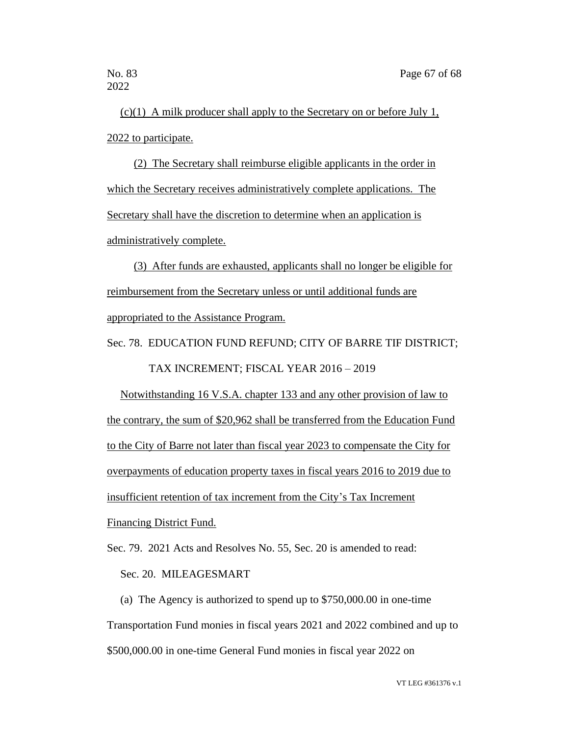(c)(1) A milk producer shall apply to the Secretary on or before July 1, 2022 to participate.

(2) The Secretary shall reimburse eligible applicants in the order in which the Secretary receives administratively complete applications. The Secretary shall have the discretion to determine when an application is administratively complete.

(3) After funds are exhausted, applicants shall no longer be eligible for reimbursement from the Secretary unless or until additional funds are appropriated to the Assistance Program.

Sec. 78. EDUCATION FUND REFUND; CITY OF BARRE TIF DISTRICT; TAX INCREMENT; FISCAL YEAR 2016 – 2019

Notwithstanding 16 V.S.A. chapter 133 and any other provision of law to the contrary, the sum of \$20,962 shall be transferred from the Education Fund to the City of Barre not later than fiscal year 2023 to compensate the City for overpayments of education property taxes in fiscal years 2016 to 2019 due to insufficient retention of tax increment from the City's Tax Increment Financing District Fund.

Sec. 79. 2021 Acts and Resolves No. 55, Sec. 20 is amended to read:

# Sec. 20. MILEAGESMART

(a) The Agency is authorized to spend up to \$750,000.00 in one-time Transportation Fund monies in fiscal years 2021 and 2022 combined and up to \$500,000.00 in one-time General Fund monies in fiscal year 2022 on